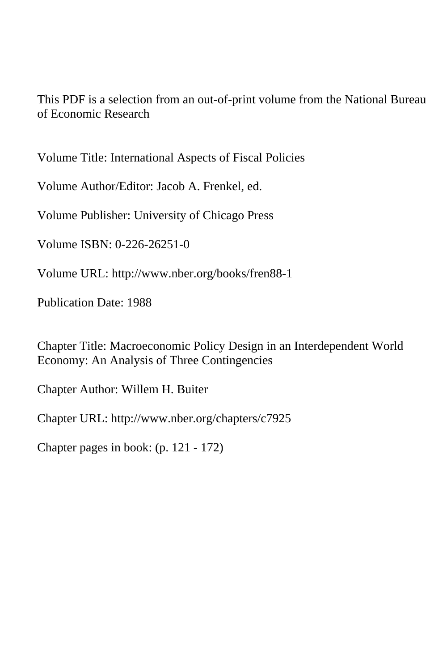This PDF is a selection from an out-of-print volume from the National Bureau of Economic Research

Volume Title: International Aspects of Fiscal Policies

Volume Author/Editor: Jacob A. Frenkel, ed.

Volume Publisher: University of Chicago Press

Volume ISBN: 0-226-26251-0

Volume URL: http://www.nber.org/books/fren88-1

Publication Date: 1988

Chapter Title: Macroeconomic Policy Design in an Interdependent World Economy: An Analysis of Three Contingencies

Chapter Author: Willem H. Buiter

Chapter URL: http://www.nber.org/chapters/c7925

Chapter pages in book: (p. 121 - 172)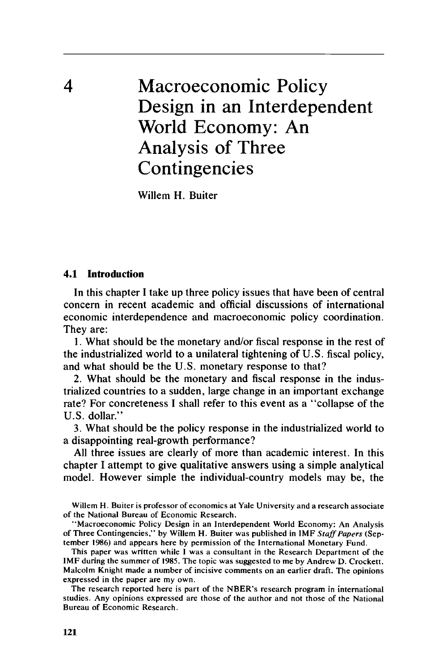4 Macroeconomic Policy Design in an Interdependent World Economy: An Analysis of Three Contingencies

Willem H. Buiter

#### **4.1 Introduction**

In this chapter I take up three policy issues that have been of central concern in recent academic and official discussions of international economic interdependence and macroeconomic policy coordination. They are:

**1.** What should be the monetary and/or fiscal response in the rest of the industrialized world to a unilateral tightening of U.S. fiscal policy, and what should be the U.S. monetary response to that?

2. What should be the monetary and fiscal response in the industrialized countries to a sudden, large change in an important exchange rate? For concreteness I shall refer to this event as a "collapse of the U.S. dollar."

3. What should be the policy response in the industrialized world to a disappointing real-growth performance?

All three issues are clearly of more than academic interest. In this chapter I attempt to give qualitative answers using a simple analytical model. However simple the individual-country models may be, the

Willem H. Buiter is professor of economics at Yale University and a research associate **of** the National Bureau of Economic Research.

'Macroeconomic Policy Design in an Interdependent World Economy: An Analysis of Three Contingencies," by Willem H. Buiter was published in IMF *Stufffupers* (September *1986)* and appears here by permission of the International Monetary Fund.

This paper was written while I was a consultant in the Research Department of the IMF during the summer of **1985.** The topic was suggested to me by Andrew D. Crockett. Malcolm Knight made a number of incisive comments on an earlier draft. The opinions expressed in the paper are my own.

The research reported here is part of the NBER's research program in international studies. Any opinions expressed are those of the author and not those of the National Bureau of Economic Research.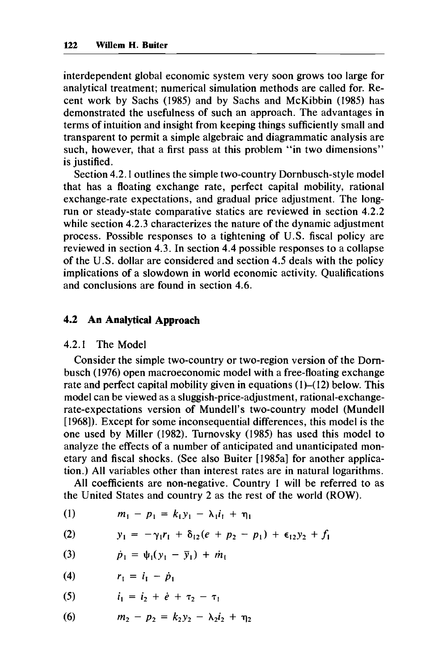interdependent global economic system very soon grows too large for analytical treatment; numerical simulation methods are called for. Recent work by Sachs (1985) and by Sachs and McKibbin (1985) has demonstrated the usefulness of such an approach. The advantages in terms of intuition and insight from keeping things sufficiently small and transparent to permit a simple algebraic and diagrammatic analysis are such, however, that a first pass at this problem "in two dimensions" is justified.

Section 4.2.1 outlines the simple two-country Dornbusch-style model that has a floating exchange rate, perfect capital mobility, rational exchange-rate expectations, and gradual price adjustment. The longrun or steady-state comparative statics are reviewed in section 4.2.2 while section 4.2.3 characterizes the nature of the dynamic adjustment process. Possible responses to a tightening of U.S. fiscal policy are reviewed in section 4.3. In section 4.4 possible responses to a collapse of the U.S. dollar are considered and section 4.5 deals with the policy implications of a slowdown in world economic activity. Qualifications and conclusions are found in section 4.6.

## **4.2 An Analytical Approach**

## 4.2.1 The Model

Consider the simple two-country or two-region version of the Dornbusch (1976) open macroeconomic model with a free-floating exchange rate and perfect capital mobility given in equations  $(1)$ – $(12)$  below. This model can be viewed as a sluggish-price-adjustment, rational-exchangerate-expectations version of Mundell's two-country model (Mundell [1968]). Except for some inconsequential differences, this model is the one used by Miller (1982). Turnovsky (1985) has used this model to analyze the effects of a number of anticipated and unanticipated monetary and fiscal shocks. (See also Buiter [1985a] for another application.) All variables other than interest rates are in natural logarithms.

All coefficients are non-negative. Country 1 will be referred to as the United States and country 2 as the rest of the world (ROW).

(1) 
$$
m_1 - p_1 = k_1 y_1 - \lambda_1 i_1 + \eta_1
$$

(2) 
$$
y_1 = -\gamma_1 r_1 + \delta_{12}(e + p_2 - p_1) + \epsilon_{12} y_2 + f_1
$$

(3) 
$$
\dot{p}_1 = \psi_1(y_1 - \bar{y}_1) + \dot{m}_1
$$

$$
(4) \hspace{1cm} r_1 = i_1 - \dot{p}_1
$$

(5) 
$$
i_1 = i_2 + \dot{e} + \tau_2 - \tau_1
$$

(6) 
$$
m_2 - p_2 = k_2 y_2 - \lambda_2 i_2 + \eta_2
$$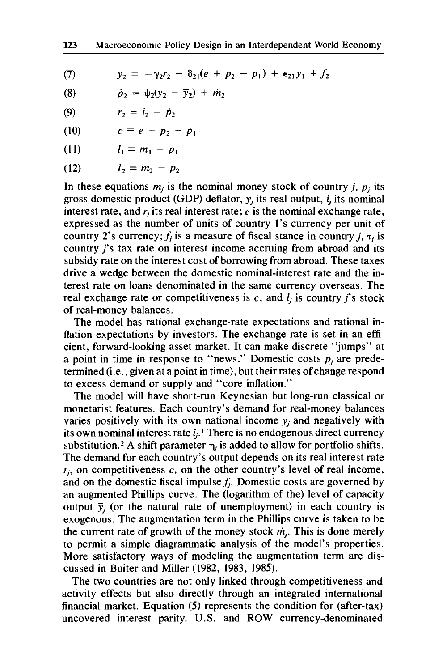**(7)**   $y_2 = -\gamma_2 r_2 - \delta_{21} (e + p_2 - p_1) + \epsilon_{21} y_1 + f_2$ 

(8) 
$$
\dot{p}_2 = \psi_2(y_2 - \bar{y}_2) + \dot{m}_2
$$

(9) 
$$
r_2 = i_2 - \dot{p}_2
$$

$$
(10) \qquad c \equiv e + p_2 - p_1
$$

$$
(11) \qquad l_1 \equiv m_1 - p_1
$$

$$
(12) \qquad l_2 \equiv m_2 - p_2
$$

In these equations  $m_j$  is the nominal money stock of country *j*,  $p_j$  its gross domestic product (GDP) deflator, *yj* its real output, *ij* its nominal interest rate, and  $r_i$  its real interest rate;  $e$  is the nominal exchange rate, expressed as the number of units of country **1's** currency per unit of country 2's currency;  $f_i$  is a measure of fiscal stance in country j,  $\tau_i$  is country *j's* tax rate on interest income accruing from abroad and its subsidy rate on the interest cost of borrowing from abroad. These taxes drive a wedge between the domestic nominal-interest rate and the interest rate on loans denominated in the same currency overseas. The real exchange rate or competitiveness is  $c$ , and  $l_i$  is country *j*'s stock of real-money balances.

The model has rational exchange-rate expectations and rational inflation expectations by investors. The exchange rate is set in an efficient, forward-looking asset market. It can make discrete "jumps" at a point in time in response to "news." Domestic costs  $p_i$  are predetermined (i.e., given at a point in time), but their rates of change respond to excess demand or supply and "core inflation."

The model will have short-run Keynesian but long-run classical or monetarist features. Each country's demand for real-money balances varies positively with its own national income *yj* and negatively with its own nominal interest rate  $i_j$ .<sup>1</sup> There is no endogenous direct currency substitution.<sup>2</sup> A shift parameter  $\eta_i$  is added to allow for portfolio shifts. The demand for each country's output depends on its real interest rate  $r_i$ , on competitiveness  $c$ , on the other country's level of real income, and on the domestic fiscal impulse  $f_i$ . Domestic costs are governed by an augmented Phillips curve. The (logarithm of the) level of capacity output  $\bar{y}_i$  (or the natural rate of unemployment) in each country is exogenous. The augmentation term in the Phillips curve is taken to be the current rate of growth of the money stock *mj.* This is done merely to permit a simple diagrammatic analysis of the model's properties. More satisfactory ways of modeling the augmentation term are discussed in Buiter and Miller **(1982, 1983, 1985).** 

The two countries are not only linked through competitiveness and activity effects but also directly through an integrated international financial market. Equation *(5)* represents the condition for (after-tax) uncovered interest parity. U.S. and ROW currency-denominated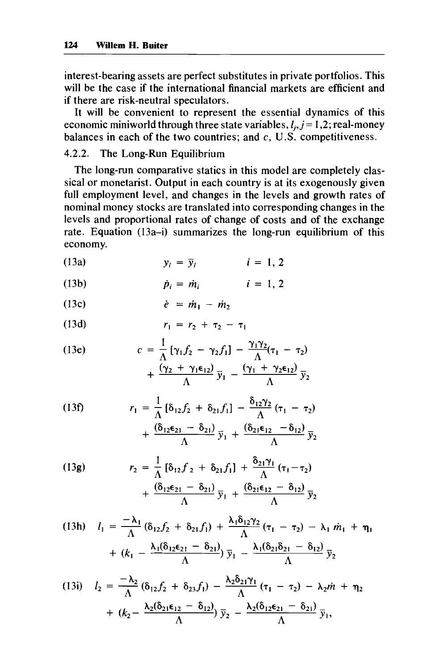interest-bearing assets are perfect substitutes in private portfolios. This will be the case if the international financial markets are efficient and if there are risk-neutral speculators.

It will be convenient to represent the essential dynamics of this economic miniworld through three state variables,  $l_i$ ,  $j = 1, 2$ ; real-money balances in each of the two countries; and **c,** U.S. competitiveness.

# 4.2.2. The Long-Run Equilibrium

The long-run comparative statics in this model are completely classical or monetarist. Output in each country is at its exogenously given full employment level, and changes in the levels and growth rates of nominal money stocks are translated into corresponding changes in the levels and proportional rates of change of costs and of the exchange rate. Equation (13a-i) summarizes the long-run equilibrium of this economy.

$$
(13a) \t y_i = \overline{y}_i \t i = 1, 2
$$

$$
(13b) \qquad \qquad \dot{p}_i = \dot{m}_i \qquad \qquad i = 1, 2
$$

$$
(13c) \qquad \qquad \dot{e} = \dot{m}_1 - \dot{m}_2
$$

(13d) 
$$
r_1 = r_2 + \tau_2 - \tau_1
$$

(13e) 
$$
c = \frac{1}{\Lambda} [\gamma_1 f_2 - \gamma_2 f_1] - \frac{\gamma_1 \gamma_2}{\Lambda} (\tau_1 - \tau_2) + \frac{(\gamma_2 + \gamma_1 \epsilon_{12})}{\Lambda} \bar{y}_1 - \frac{(\gamma_1 + \gamma_2 \epsilon_{12})}{\Lambda} \bar{y}_2
$$

(13f) 
$$
r_1 = \frac{1}{\Lambda} [\delta_{12} f_2 + \delta_{21} f_1] - \frac{\delta_{12} \gamma_2}{\Lambda} (\tau_1 - \tau_2) + \frac{(\delta_{12} \epsilon_{21} - \delta_{21})}{\Lambda} \bar{y}_1 + \frac{(\delta_{21} \epsilon_{12} - \delta_{12})}{\Lambda} \bar{y}_2]
$$

(13g) 
$$
r_2 = \frac{1}{\Lambda} [\delta_{12} f_2 + \delta_{21} f_1] + \frac{\delta_{21} \gamma_1}{\Lambda} (\tau_1 - \tau_2) + \frac{(\delta_{12} \epsilon_{21} - \delta_{21})}{\Lambda} \bar{y}_1 + \frac{(\delta_{21} \epsilon_{12} - \delta_{12})}{\Lambda} \bar{y}_2
$$

$$
(13h) \quad l_1 = \frac{-\lambda_1}{\Lambda} (\delta_{12} f_2 + \delta_{21} f_1) + \frac{\lambda_1 \delta_{12} \gamma_2}{\Lambda} (\tau_1 - \tau_2) - \lambda_1 m_1 + \eta_1
$$

$$
+ (k_1 - \frac{\lambda_1 (\delta_{12} \epsilon_{21} - \delta_{21})}{\Lambda}) \bar{y}_1 - \frac{\lambda_1 (\delta_{21} \delta_{21} - \delta_{12})}{\Lambda} \bar{y}_2
$$

$$
(13i) \quad l_2 = \frac{-\lambda_2}{\Lambda} (\delta_{12} f_2 + \delta_{23} f_1) - \frac{\lambda_2 \delta_{21} \gamma_1}{\Lambda} (\tau_1 - \tau_2) - \lambda_2 \dot{m} + \eta_2
$$

$$
+ (\kappa_2 - \frac{\lambda_2 (\delta_{21} \epsilon_{12} - \delta_{12})}{\Lambda}) \bar{y}_2 - \frac{\lambda_2 (\delta_{12} \epsilon_{21} - \delta_{21})}{\Lambda} \bar{y}_1,
$$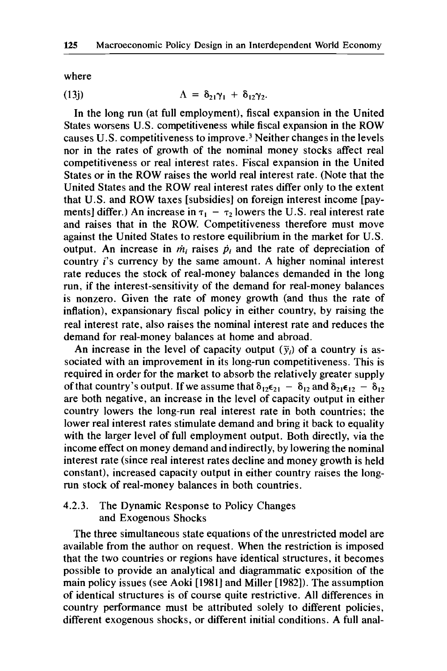where

(13j) 
$$
\Lambda = \delta_{21}\gamma_1 + \delta_{12}\gamma_2.
$$

In the long run (at full employment), fiscal expansion in the United States worsens U.S. competitiveness while fiscal expansion in the ROW causes U.S. competitiveness to improve.<sup>3</sup> Neither changes in the levels nor in the rates of growth of the nominal money stocks affect real competitiveness or real interest rates. Fiscal expansion in the United States or in the ROW raises the world real interest rate. (Note that the United States and the ROW real interest rates differ only to the extent that U.S. and ROW taxes [subsidies] on foreign interest income [payments] differ.) An increase in  $\tau_1 - \tau_2$  lowers the U.S. real interest rate and raises that in the ROW. Competitiveness therefore must move against the United States to restore equilibrium in the market for U.S. output. An increase in  $\dot{m}_i$  raises  $\dot{p}_i$  and the rate of depreciation of country *i's* currency by the same amount. A higher nominal interest rate reduces the stock of real-money balances demanded in the long run, if the interest-sensitivity of the demand for real-money balances is nonzero. Given the rate of money growth (and thus the rate of inflation), expansionary fiscal policy in either country, by raising the real interest rate, also raises the nominal interest rate and reduces the demand for real-money balances at home and abroad.

An increase in the level of capacity output  $(\bar{y}_i)$  of a country is associated with an improvement in its long-run competitiveness. This is required in order for the market to absorb the relatively greater supply of that country's output. If we assume that  $\delta_{12}\epsilon_{21} - \delta_{12}$  and  $\delta_{21}\epsilon_{12} - \delta_{12}$ are both negative, an increase in the level of capacity output in either country lowers the long-run real interest rate in both countries; the lower real interest rates stimulate demand and bring it back to equality with the larger level of full employment output. Both directly, via the income effect on money demand and indirectly, by lowering the nominal interest rate (since real interest rates decline and money growth is held constant), increased capacity output in either country raises the longrun stock of real-money balances in both countries.

## 4.2.3. The Dynamic Response to Policy Changes and Exogenous Shocks

The three simultaneous state equations of the unrestricted model are available from the author on request. When the restriction is imposed that the two countries or regions have identical structures, it becomes possible to provide an analytical and diagrammatic exposition of the main policy issues (see Aoki [1981] and Miller [1982]). The assumption of identical structures is of course quite restrictive. All differences in country performance must be attributed solely to different policies, different exogenous shocks, or different initial conditions. A full anal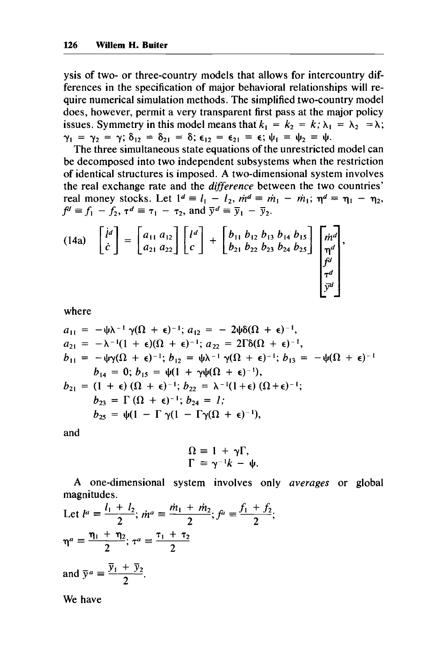ysis of two- or three-country models that allows for intercountry differences in the specification of major behavioral relationships will require numerical simulation methods. The simplified two-country model does, however, permit a very transparent first pass at the major policy issues. Symmetry in this model means that  $k_1 = k_2 = k$ ;  $\lambda_1 = \lambda_2 = \lambda$ ; **y**<sub>1</sub> = **y**<sub>2</sub> = **y**;  $\delta_{12} = \delta_{21} = \delta$ ;  $\epsilon_{12} = \epsilon_{21} = \epsilon$ ;  $\psi_1 = \psi_2 = \psi$ .

The three simultaneous state equations of the unrestricted model can be decomposed into two independent subsystems when the restriction of identical structures is imposed. A two-dimensional system involves the real exchange rate and the difference between the two countries'  $f^d \equiv f_1 - f_2$ ,  $\tau^d \equiv \tau_1 - \tau_2$ , and  $\bar{y}^d \equiv \bar{y}_1 - \bar{y}_2$ . real money stocks. Let  $1^d \equiv l_1 - l_2$ ,  $\dot{m}^d \equiv \dot{m}_1 - \dot{m}_1$ ;  $\eta^d \equiv \eta_1 - \eta_2$ ,

$$
(14a) \quad \begin{bmatrix} i^d \\ c \end{bmatrix} = \begin{bmatrix} a_{11} & a_{12} \\ a_{21} & a_{22} \end{bmatrix} \begin{bmatrix} l^d \\ c \end{bmatrix} + \begin{bmatrix} b_{11} & b_{12} & b_{13} & b_{14} & b_{15} \\ b_{21} & b_{22} & b_{23} & b_{24} & b_{25} \end{bmatrix} \begin{bmatrix} m^d \\ m^d \\ p^d \\ p^d \end{bmatrix},
$$

where

$$
a_{11} = -\psi \lambda^{-1} \gamma(\Omega + \epsilon)^{-1}; a_{12} = -2\psi \delta(\Omega + \epsilon)^{-1},
$$
  
\n
$$
a_{21} = -\lambda^{-1}(1 + \epsilon)(\Omega + \epsilon)^{-1}; a_{22} = 2\Gamma \delta(\Omega + \epsilon)^{-1},
$$
  
\n
$$
b_{11} = -\psi \gamma(\Omega + \epsilon)^{-1}; b_{12} = \psi \lambda^{-1} \gamma(\Omega + \epsilon)^{-1}; b_{13} = -\psi(\Omega + \epsilon)^{-1}
$$
  
\n
$$
b_{14} = 0; b_{15} = \psi(1 + \gamma \psi(\Omega + \epsilon)^{-1}),
$$
  
\n
$$
b_{21} = (1 + \epsilon) (\Omega + \epsilon)^{-1}; b_{22} = \lambda^{-1}(1 + \epsilon) (\Omega + \epsilon)^{-1};
$$
  
\n
$$
b_{23} = \Gamma(\Omega + \epsilon)^{-1}; b_{24} = 1;
$$
  
\n
$$
b_{25} = \psi(1 - \Gamma \gamma(1 - \Gamma \gamma(\Omega + \epsilon)^{-1}),
$$

and

$$
\Omega \equiv 1 + \gamma \Gamma, \n\Gamma \equiv \gamma^{-1}k - \psi.
$$

A one-dimensional system involves only averages or global magnitudes.

Let 
$$
l^a = \frac{l_1 + l_2}{2}
$$
;  $\dot{m}^a = \frac{\dot{m}_1 + \dot{m}_2}{2}$ ;  $f^a = \frac{f_1 + f_2}{2}$ ;  
\n $\eta^a = \frac{\eta_1 + \eta_2}{2}$ ;  $\tau^a = \frac{\tau_1 + \tau_2}{2}$   
\nand  $\bar{y}^a = \frac{\bar{y}_1 + \bar{y}_2}{2}$ .

We have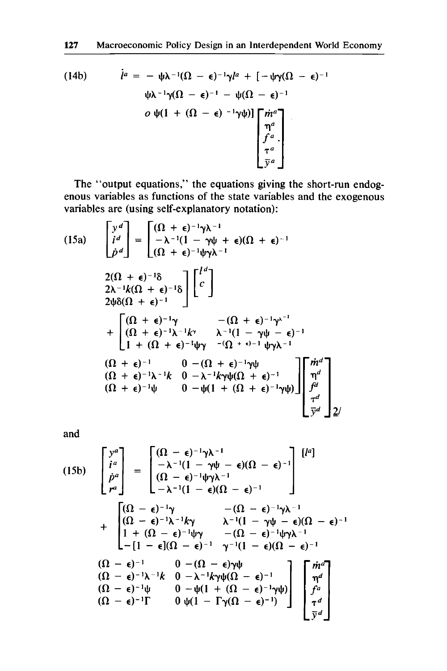(14b) 
$$
\dot{l}^{a} = -\psi \lambda^{-1} (\Omega - \epsilon)^{-1} \gamma l^{a} + [-\psi \gamma (\Omega - \epsilon)^{-1} \psi \lambda^{-1} \gamma (\Omega - \epsilon)^{-1} - \psi (\Omega - \epsilon)^{-1}
$$

$$
\phi \psi (1 + (\Omega - \epsilon)^{-1} \gamma \psi)] \begin{bmatrix} \dot{m}^{a} \\ \eta^{a} \\ \dot{r}^{a} \\ \bar{y}^{a} \end{bmatrix}
$$

**The "output equations," the equations giving the short-run endogenous variables as functions of the state variables and the exogenous variables are (using self-explanatory notation):** 

(15a)  
\n
$$
\begin{bmatrix}\ny^d \\
i^d\n\end{bmatrix} = \begin{bmatrix}\n(\Omega + \epsilon)^{-1}\gamma\lambda^{-1} \\
-\lambda^{-1}(1 - \gamma\psi + \epsilon)(\Omega + \epsilon)^{-1}\n\end{bmatrix}
$$
\n
$$
\begin{bmatrix}\n2(\Omega + \epsilon)^{-1}\delta \\
2\lambda^{-1}k(\Omega + \epsilon)^{-1}\delta\n\end{bmatrix} \begin{bmatrix}\nl^d \\
c\n\end{bmatrix}
$$
\n
$$
2\psi\delta(\Omega + \epsilon)^{-1}\n\begin{bmatrix}\n(\Omega + \epsilon)^{-1}\gamma & -(\Omega + \epsilon)^{-1}\gamma^{\lambda^{-1}} \\
(\Omega + \epsilon)^{-1}\lambda^{-1}k\n\end{bmatrix} + \begin{bmatrix}\n(\Omega + \epsilon)^{-1}\gamma & -(\Omega + \epsilon)^{-1}\gamma^{\lambda^{-1}} \\
(\Omega + \epsilon)^{-1}\lambda^{-1}k\n\end{bmatrix} + (\Omega + \epsilon)^{-1}\psi\gamma^{-(1 - \gamma\psi - \epsilon)^{-1}}\n\begin{bmatrix}\n(\Omega + \epsilon)^{-1} & 0 - (\Omega + \epsilon)^{-1}\gamma\psi \\
(\Omega + \epsilon)^{-1}\lambda^{-1}k & 0 - \lambda^{-1}k\gamma\psi(\Omega + \epsilon)^{-1}\n\end{bmatrix} \begin{bmatrix}\n\dot{m}^d \\
\eta^d \\
\eta^d \\
\tau^d \\
\hline\n\end{bmatrix}
$$

**and** 

(15b) 
$$
\begin{bmatrix} y^a \\ i^a \\ \dot{p}^a \end{bmatrix} = \begin{bmatrix} (\Omega - \epsilon)^{-1} \gamma \lambda^{-1} \\ -\lambda^{-1} (1 - \gamma \psi - \epsilon) (\Omega - \epsilon)^{-1} \\ (\Omega - \epsilon)^{-1} \psi \gamma \lambda^{-1} \end{bmatrix} \begin{bmatrix} l^a \end{bmatrix}
$$

$$
+ \begin{bmatrix} (\Omega - \epsilon)^{-1} \gamma & -(\Omega - \epsilon)^{-1} \gamma \lambda^{-1} \\ (\Omega - \epsilon)^{-1} \lambda^{-1} k \gamma & \lambda^{-1} (1 - \gamma \psi - \epsilon) (\Omega - \epsilon)^{-1} \\ 1 + (\Omega - \epsilon)^{-1} \psi \gamma & -(\Omega - \epsilon)^{-1} \psi \gamma \lambda^{-1} \end{bmatrix}
$$

$$
+ \begin{bmatrix} (\Omega - \epsilon)^{-1} \lambda^{-1} k \gamma & \lambda^{-1} (1 - \gamma \psi - \epsilon) (\Omega - \epsilon)^{-1} \\ 1 + (\Omega - \epsilon)^{-1} \psi \gamma & -(\Omega - \epsilon)^{-1} \psi \gamma \lambda^{-1} \end{bmatrix}
$$

$$
= (\Omega - \epsilon)^{-1} \qquad 0 - (\Omega - \epsilon) \gamma \psi
$$

$$
= (\Omega - \epsilon)^{-1} \gamma^{-1} k \qquad 0 - \lambda^{-1} k \gamma \psi (\Omega - \epsilon)^{-1}
$$

$$
= (\Omega - \epsilon)^{-1} \psi \qquad 0 - \psi (1 + (\Omega - \epsilon)^{-1} \gamma \psi) \qquad \text{and} \qquad \text{and} \qquad \text{and} \qquad \text{and} \qquad \text{and} \qquad \text{and} \qquad \text{and} \qquad \text{and} \qquad \text{and} \qquad \text{and} \qquad \text{and} \qquad \text{and} \qquad \text{and} \qquad \text{and} \qquad \text{and} \qquad \text{and} \qquad \text{and} \qquad \text{and} \qquad \text{and} \qquad \text{and} \qquad \text{and} \qquad \text{and} \qquad \text{and} \qquad \text{and} \qquad \text{and} \qquad \text{and} \qquad \text{and} \qquad \text{and} \qquad \text{and} \qquad \text{and} \qquad \text{and} \qquad \text{and} \qquad \text{and} \qquad \text{and} \qquad \text{and} \q
$$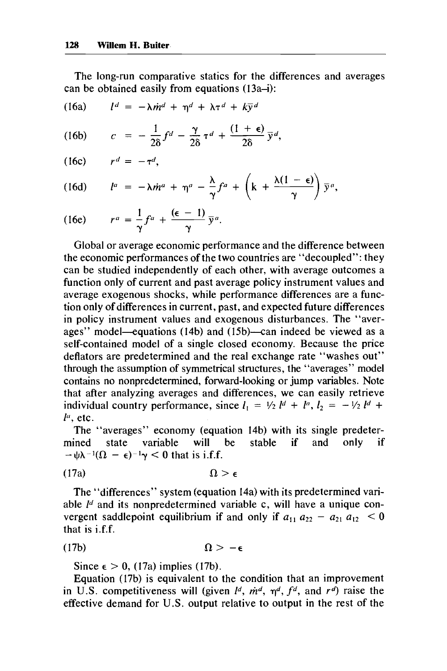The long-run comparative statics for the differences and averages can be obtained easily from equations  $(13a-i)$ :

(16a) 
$$
l^d = -\lambda \dot{m}^d + \eta^d + \lambda \tau^d + k \overline{y}^d
$$

- $c = -\frac{1}{2\delta}f^d \frac{\gamma}{2\delta}\tau^d + \frac{(1+\epsilon)}{2\delta}\bar{y}^d,$  $(16b)$
- $r^d = -\tau^d$ .  $(16c)$

(16d) 
$$
l^{a} = -\lambda \dot{m}^{a} + \eta^{a} - \frac{\lambda}{\gamma} f^{a} + \left(k + \frac{\lambda(1-\epsilon)}{\gamma}\right) \bar{y}^{a},
$$

(16e) 
$$
r^a = \frac{1}{\gamma} f^a + \frac{(\epsilon - 1)}{\gamma} \overline{y}^a.
$$

Global or average economic performance and the difference between the economic performances of the two countries are "decoupled": they can be studied independently of each other, with average outcomes a function only of current and past average policy instrument values and average exogenous shocks, while performance differences are a function only of differences in current, past, and expected future differences in policy instrument values and exogenous disturbances. The "averages" model—equations (14b) and  $(15b)$ —can indeed be viewed as a self-contained model of a single closed economy. Because the price deflators are predetermined and the real exchange rate "washes out" through the assumption of symmetrical structures, the "averages" model contains no nonpredetermined, forward-looking or jump variables. Note that after analyzing averages and differences, we can easily retrieve individual country performance, since  $I_1 = \frac{1}{2} I^d + I^a$ ,  $I_2 = -\frac{1}{2} I^d +$  $l^a$ , etc.

The "averages" economy (equation 14b) with its single predetermined state variable will be stable if and only if mined state variable will<br> $-\psi\lambda^{-1}(\Omega - \epsilon)^{-1}\gamma < 0$  that is i.f.f.

(17a) **fl>E** 

The "differences" system (equation 14a) with its predetermined variable *Id* and its nonpredetermined variable c, will have a unique convergent saddlepoint equilibrium if and only if  $a_{11} a_{22} - a_{21} a_{12} < 0$ that is i.f.f.

(17b) **f**  $\Omega > -\epsilon$ 

Since  $\epsilon > 0$ , (17a) implies (17b).

Equation (17b) is equivalent to the condition that an improvement in U.S. competitiveness will (given  $l^d$ ,  $\dot{m}^d$ ,  $\eta^d$ ,  $f^d$ , and  $r^d$ ) raise the effective demand for U.S. output relative to output in the rest of the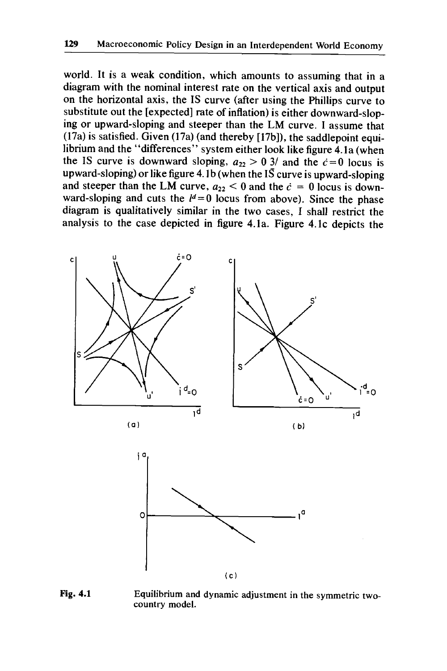world. It is a weak condition, which amounts to assuming that in a diagram with the nominal interest rate on the vertical axis and output on the horizontal axis, the IS curve (after using the Phillips curve to substitute out the [expected] rate of inflation) is either downward-sloping or upward-sloping and steeper than the LM curve. I assume that (17a) is satisfied. Given (17a) (and thereby [17bJ), the saddlepoint equilibrium and the "differences" system either look like figure 4.1a (when the IS curve is downward sloping,  $a_{22} > 0.3/$  and the  $c = 0$  locus is upward-sloping) or like figure **4.** I b (when the **IS** curve is upward-sloping and steeper than the LM curve,  $a_{22} < 0$  and the  $\dot{c} = 0$  locus is downward-sloping and cuts the  $l^d=0$  locus from above). Since the phase diagram is qualitatively similar in the two cases, I shall restrict the analysis to the case depicted in figure 4.la. Figure 4.lc depicts the



**Fig. 4.1 Equilibrium and dynamic adjustment in the symmetric twocountry model.**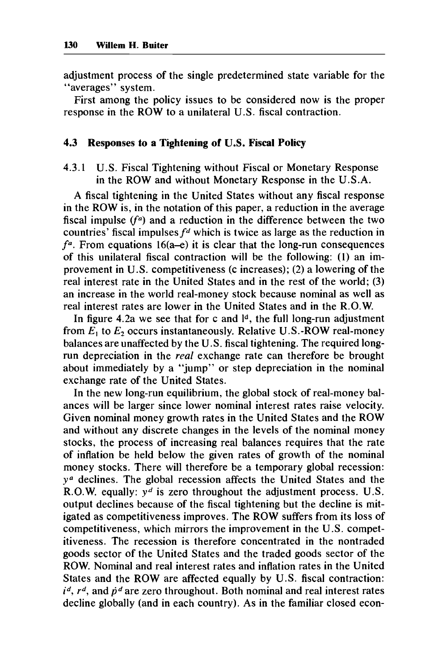adjustment process of the single predetermined state variable for the "averages" system.

First among the policy issues to be considered now is the proper response in the ROW to a unilateral U.S. fiscal contraction.

## **4.3 Responses to a Tightening of U.S. Fiscal Policy**

**4.3.1** U.S. Fiscal Tightening without Fiscal or Monetary Response in the ROW and without Monetary Response in the U.S.A.

A fiscal tightening in the United States without any fiscal response in the ROW is, in the notation of this paper, a reduction in the average fiscal impulse  $(f<sup>a</sup>)$  and a reduction in the difference between the two countries' fiscal impulses  $f<sup>d</sup>$  which is twice as large as the reduction in  $f<sup>a</sup>$ . From equations 16(a-e) it is clear that the long-run consequences of this unilateral fiscal contraction will be the following: **(1)** an improvement in U.S. competitiveness (c increases); (2) a lowering of the real interest rate in the United States and in the rest of the world; (3) an increase in the world real-money stock because nominal as well as real interest rates are lower in the United States and in the R.O.W.

In figure 4.2a we see that for c and **Id,** the full long-run adjustment from  $E_1$  to  $E_2$  occurs instantaneously. Relative U.S.-ROW real-money balances are unaffected by the U.S. fiscal tightening. The required longrun depreciation in the *real* exchange rate can therefore be brought about immediately by a "jump" or step depreciation in the nominal exchange rate of the United States.

In the new long-run equilibrium, the global stock of real-money balances will be larger since lower nominal interest rates raise velocity. Given nominal money growth rates in the United States and the ROW and without any discrete changes in the levels of the nominal money stocks, the process of increasing real balances requires that the rate of inflation be held below the given rates of growth of the nominal money stocks. There will therefore be a temporary global recession: *ya* declines. The global recession affects the United States and the R.O.W. equally: *yd* is zero throughout the adjustment process. U.S. output declines because of the fiscal tightening but the decline is mitigated as competitiveness improves. The ROW suffers from its loss of competitiveness, which mirrors the improvement in the U.S. competitiveness. The recession is therefore concentrated in the nontraded goods sector of the United States and the traded goods sector of the ROW. Nominal and real interest rates and inflation rates in the United States and the ROW are affected equally by U.S. fiscal contraction:  $i^d$ ,  $r^d$ , and  $\dot{p}^d$  are zero throughout. Both nominal and real interest rates decline globally (and in each country). As in the familiar closed econ-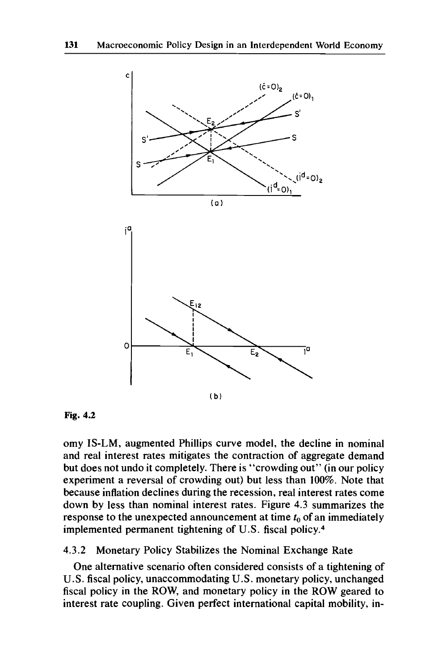

**Fig. 4.2** 

omy IS-LM, augmented Phillips curve model, the decline in nominal and real interest rates mitigates the contraction of aggregate demand but does not undo it completely. There is "crowding out" (in our policy experiment a reversal of crowding out) but less than 100%. Note that because inflation declines during the recession, real interest rates come down by less than nominal interest rates. Figure 4.3 summarizes the response to the unexpected announcement at time  $t_0$  of an immediately implemented permanent tightening of U.S. fiscal policy. $4$ 

## 4.3.2 Monetary Policy Stabilizes the Nominal Exchange Rate

One alternative scenario often considered consists of a tightening of U.S. fiscal policy, unaccommodating U.S. monetary policy, unchanged fiscal policy in the **ROW,** and monetary policy in the ROW geared to interest rate coupling. Given perfect international capital mobility, in-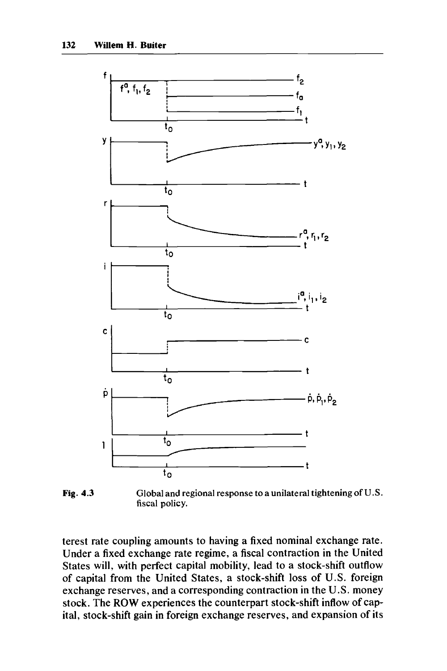

**Fig. 4.3 GIobal and regional response to a unilateral tightening of U.S. fiscal policy.** 

terest rate coupling amounts to having a fixed nominal exchange rate. Under a fixed exchange rate regime, a fiscal contraction in the United States will, with perfect capital mobility, lead to a stock-shift outflow of capital from the United States, a stock-shift loss of U.S. foreign exchange reserves, and a corresponding contraction in the U.S. money stock. The **ROW** experiences the counterpart stock-shift inflow of capital, stock-shift gain in foreign exchange reserves, and expansion of its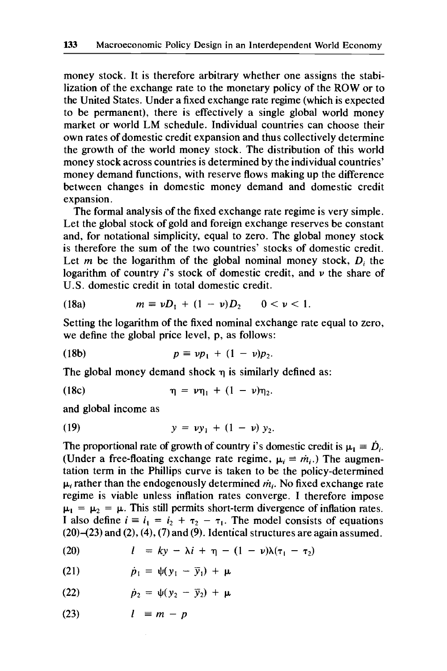money stock. It is therefore arbitrary whether one assigns the stabilization of the exchange rate to the monetary policy of the ROW or to the United States. Under a fixed exchange rate regime (which is expected to be permanent), there is effectively a single global world money market or world LM schedule. Individual countries can choose their own rates of domestic credit expansion and thus collectively determine the growth of the world money stock. The distribution of this world money stock across countries is determined by the individual countries' money demand functions, with reserve flows making up the difference between changes in domestic money demand and domestic credit expansion.

The formal analysis of the fixed exchange rate regime is very simple. Let the global stock of gold and foreign exchange reserves be constant and, for notational simplicity, equal to zero. The global money stock is therefore the sum of the two countries' stocks of domestic credit. Let *m* be the logarithm of the global nominal money stock, *D<sub>i</sub>* the logarithm of country *i's* stock of domestic credit, and *u* the share of U.S. domestic credit in total domestic credit.

(18a) 
$$
m \equiv \nu D_1 + (1 - \nu) D_2 \qquad 0 < \nu < 1.
$$

Setting the logarithm of the fixed nominal exchange rate equal to zero, we define the global price level, p, as follows:

(18b) 
$$
p \equiv v p_1 + (1 - v) p_2.
$$

The global money demand shock **q** is similarly defined as:

(18c) 
$$
\eta = \nu \eta_1 + (1 - \nu) \eta_2.
$$

and global income as

(19) 
$$
y = vy_1 + (1 - v) y_2.
$$

The proportional rate of growth of country i's domestic credit is  $\mu_1 = D_i$ . (Under a free-floating exchange rate regime,  $\mu_i \equiv \dot{m}_{i}$ .) The augmentation term in the Phillips curve is taken to be the policy-determined  $\mu_i$  rather than the endogenously determined  $\dot{m}_i$ . No fixed exchange rate regime is viable unless inflation rates converge. I therefore impose  $\mu_1 = \mu_2 = \mu$ . This still permits short-term divergence of inflation rates. I also define  $i \equiv i_1 = i_2 + \tau_2 - \tau_1$ . The model consists of equations **(20)-(23)** and **(2), (4),** (7) and **(9).** Identical structures are again assumed.

(20) 
$$
l = ky - \lambda i + \eta - (1 - \nu)\lambda(\tau_1 - \tau_2)
$$

(21) 
$$
\dot{p}_1 = \psi(y_1 - \overline{y}_1) + \mu
$$

(22) 
$$
\dot{p}_2 = \psi(y_2 - \bar{y}_2) + \mu
$$

$$
(23) \quad l \equiv m - p
$$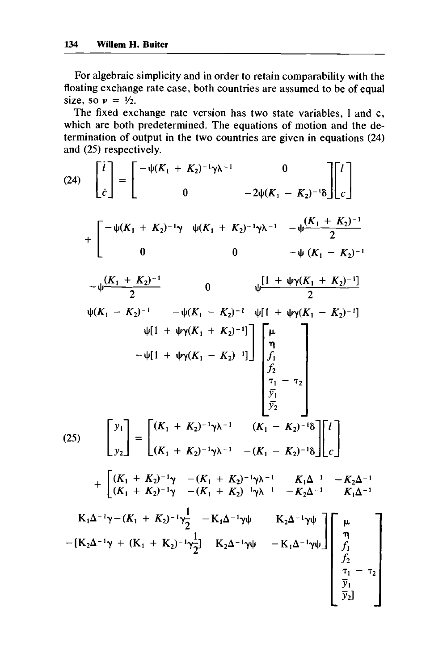For algebraic simplicity and in order to retain comparability with the floating exchange rate case, both countries are assumed to be of equal size, so  $v = \frac{1}{2}$ .

The fixed exchange rate version has two state variables, I and c, which are both predetermined. The equations of motion and the determination of output in the two countries are given in equations **(24)**  and **(25)** respectively.

$$
(24) \begin{bmatrix} i \\ i \\ \dot{c} \end{bmatrix} = \begin{bmatrix} -\psi(K_1 + K_2)^{-1}\gamma\lambda^{-1} & 0 \\ 0 & -2\psi(K_1 - K_2)^{-1}\delta \end{bmatrix} \begin{bmatrix} i \\ i \\ \dot{c} \end{bmatrix}
$$
  
+ 
$$
\begin{bmatrix} -\psi(K_1 + K_2)^{-1}\gamma & \psi(K_1 + K_2)^{-1}\gamma\lambda^{-1} & -\psi\frac{(K_1 + K_2)^{-1}}{2} \\ 0 & 0 & -\psi(K_1 - K_2)^{-1} \\ \frac{\psi(K_1 + K_2)^{-1}}{2} & 0 & \psi\frac{[1 + \psi\gamma(K_1 + K_2)^{-1}]}{2} \\ \frac{\psi(K_1 - K_2)^{-1}}{2} & -\psi(K_1 - K_2)^{-1} & \frac{\psi[1 + \psi\gamma(K_1 + K_2)^{-1}]}{2} \\ -\psi[1 + \psi\gamma(K_1 + K_2)^{-1}] \end{bmatrix} \begin{bmatrix} \mu \\ \mu \\ \eta \\ \frac{1}{2} \\ \frac{1}{2} \\ \frac{1}{2} \\ \frac{1}{2} \\ \frac{1}{2} \\ \frac{1}{2} \\ \frac{1}{2} \end{bmatrix}
$$
  

$$
(25) \begin{bmatrix} y_1 \\ y_2 \end{bmatrix} = \begin{bmatrix} (K_1 + K_2)^{-1}\gamma\lambda^{-1} & (K_1 - K_2)^{-1}\delta \\ (K_1 + K_2)^{-1}\gamma\lambda^{-1} & -K_1 - K_2\gamma^{-1}\delta \\ (K_1 + K_2)^{-1}\gamma & -K_1 + K_2\gamma^{-1}\gamma\lambda^{-1} & -K_2\Delta^{-1} \\ (K_1 + K_2)^{-1}\gamma & -K_1 + K_2\gamma^{-1}\gamma\lambda^{-1} & -K_2\Delta^{-1} \\ -K_1\Delta^{-1}\gamma - (K_1 + K_2)^{-1}\gamma\lambda^{-1} & -K_2\Delta^{-1}\gamma\mu \end{bmatrix} \begin{bmatrix} \mu \\ \mu \\ \frac{1}{2} \\ \frac{1}{2} \\ \frac{1}{2} \\ \frac{1}{2} \\ \frac{1}{2} \end{bmatrix}
$$
  
- 
$$
[K_2\Delta^{-1}\gamma + (K_1 + K_2)^{-1}\gamma\frac{1}{2} - K_1\Delta^{-1}\gamma\psi
$$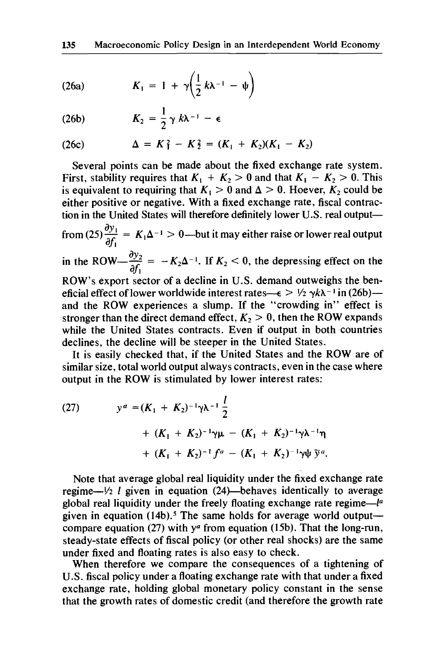$$
(26a) \hspace{1cm} K_1 = 1 + \gamma \bigg( \frac{1}{2} k \lambda^{-1} - \psi \bigg)
$$

$$
(26b) \hspace{1cm} K_2 = \frac{1}{2} \gamma k \lambda^{-1} - \epsilon
$$

(26c) 
$$
\Delta = K_1^2 - K_2^2 = (K_1 + K_2)(K_1 - K_2)
$$

Several points can be made about the fixed exchange rate system. First, stability requires that  $K_1 + K_2 > 0$  and that  $K_1 - K_2 > 0$ . This is equivalent to requiring that  $K_1 > 0$  and  $\Delta > 0$ . Hoever,  $K_2$  could be either positive or negative. With a fixed exchange rate, fiscal contraction in the United States will therefore definitely lower U.S. real outputfrom  $(25)\frac{dy_1}{dx^2} = K_1\Delta^{-1} > 0$ —but it may either raise or lower real output in the ROW $-\frac{dy_2}{dx} = -K_2\Delta^{-1}$ . If  $K_2 < 0$ , the depressing effect on the ROW'S export sector of a decline in U.S. demand outweighs the beneficial effect of lower worldwide interest rates- $\epsilon > \frac{1}{2} \gamma k \lambda^{-1}$  in (26b)and the ROW experiences a slump. If the "crowding in" effect is stronger than the direct demand effect,  $K_2 > 0$ , then the ROW expands while the United States contracts. Even if output in both countries declines, the decline will be steeper in the United States.  $\frac{\partial y_1}{\partial x_2}$  $\partial f_1$  $\frac{\partial y_2}{\partial x_1}$  $\partial f_{1}$ 

It is easily checked that, if the United States and the ROW are of similar size, total world output always contracts, even in the case where output in the ROW is stimulated by lower interest rates:

(27) 
$$
y^{a} = (K_{1} + K_{2})^{-1} \gamma \lambda^{-1} \frac{l}{2} + (K_{1} + K_{2})^{-1} \gamma \mu - (K_{1} + K_{2})^{-1} \gamma \lambda^{-1} \eta + (K_{1} + K_{2})^{-1} f^{a} - (K_{1} + K_{2})^{-1} \gamma \psi \overline{y}^{a}.
$$

Note that average global real liquidity under the fixed exchange rate regime $-\frac{1}{2}$  *l* given in equation (24)—behaves identically to average global real liquidity under the freely floating exchange rate regime- $I<sup>a</sup>$ given in equation (14b).<sup>5</sup> The same holds for average world output compare equation (27) with  $y^{\alpha}$  from equation (15b). That the long-run, steady-state effects of fiscal policy (or other real shocks) are the same under fixed and floating rates is also easy to check.

When therefore we compare the consequences of a tightening of U.S. fiscal policy under a floating exchange rate with that under a fixed exchange rate, holding global monetary policy constant in the sense that the growth rates of domestic credit (and therefore the growth rate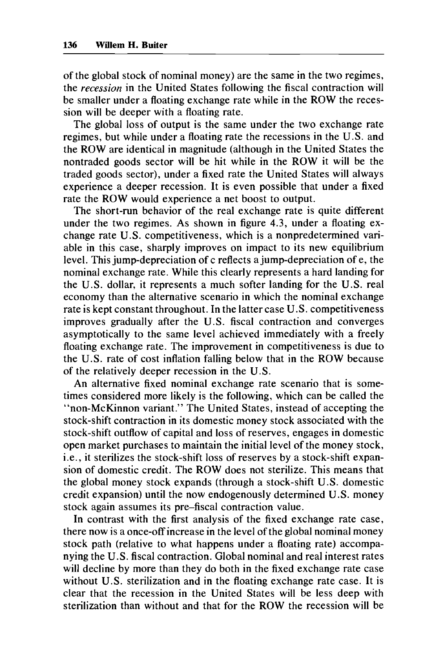of the global stock of nominal money) are the same in the two regimes, the *recession* in the United States following the fiscal contraction will be smaller under a floating exchange rate while in the ROW the recession will be deeper with a floating rate.

The global **loss** of output is the same under the two exchange rate regimes, but while under a floating rate the recessions in the **U.S.** and the ROW are identical in magnitude (although in the United States the nontraded goods sector will be hit while in the ROW it will be the traded goods sector), under a fixed rate the United States will always experience a deeper recession. It is even possible that under a fixed rate the ROW would experience a net boost to output.

The short-run behavior of the real exchange rate is quite different under the two regimes, As shown in figure **4.3,** under a floating exchange rate U.S. competitiveness, which is a nonpredetermined variable in this case, sharply improves on impact to its new equilibrium level. This jump-depreciation of c reflects a jump-depreciation of e, the nominal exchange rate. While this clearly represents a hard landing for the U.S. dollar, it represents a much softer landing for the U.S. real economy than the alternative scenario in which the nominal exchange rate is kept constant throughout. In the latter case U.S. competitiveness improves gradually after the U.S. fiscal contraction and converges asymptotically to the same level achieved immediately with a freely floating exchange rate. The improvement in competitiveness is due to the U.S. rate **of** cost inflation falling below that in the ROW because of the relatively deeper recession in the U.S.

An alternative fixed nominal exchange rate scenario that is sometimes considered more likely is the following, which can be called the "non-McKinnon variant." The United States, instead of accepting the stock-shift contraction in its domestic money stock associated with the stock-shift outflow of capital and **loss** of reserves, engages in domestic open market purchases to maintain the initial level of the money stock, i.e., it sterilizes the stock-shift **loss** of reserves by a stock-shift expansion of domestic credit. The ROW does not sterilize. This means that the global money stock expands (through a stock-shift **U.S.** domestic credit expansion) until the now endogenously determined **U.S.** money stock again assumes its pre-fiscal contraction value.

In contrast with the first analysis of the fixed exchange rate case, there now is a once-off increase in the level of the global nominal money stock path (relative to what happens under a floating rate) accompanying the U.S. fiscal contraction. Global nominal and real interest rates will decline by more than they do both in the fixed exchange rate case without U.S. sterilization and in the floating exchange rate case. It is clear that the recession in the United States will be less deep with sterilization than without and that for the **ROW** the recession will be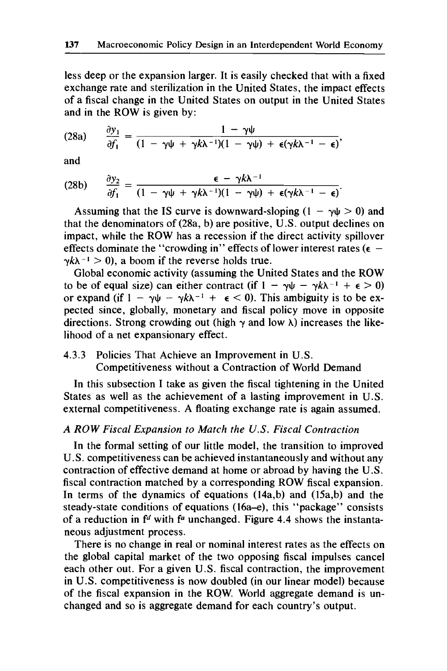less deep or the expansion larger. It is easily checked that with a fixed exchange rate and sterilization in the United States, the impact effects of a fiscal change in the United States on output in the United States

(28a) 
$$
\frac{\partial y_1}{\partial f_1} = \frac{1 - \gamma \psi}{(1 - \gamma \psi + \gamma k \lambda^{-1})(1 - \gamma \psi) + \epsilon (\gamma k \lambda^{-1} - \epsilon)},
$$

and

and  
\n(28b) 
$$
\frac{\partial y_2}{\partial f_1} = \frac{\epsilon - \gamma k \lambda^{-1}}{(1 - \gamma \psi + \gamma k \lambda^{-1})(1 - \gamma \psi) + \epsilon (\gamma k \lambda^{-1} - \epsilon)}.
$$

Assuming that the IS curve is downward-sloping  $(1 - \gamma \psi > 0)$  and that the denominators of (28a, b) are positive, U.S. output declines on impact, while the ROW has a recession if the direct activity spillover effects dominate the "crowding in" effects of lower interest rates  $(e \gamma k \lambda^{-1} > 0$ , a boom if the reverse holds true.

Global economic activity (assuming the United States and the ROW to be of equal size) can either contract (if  $1 - \gamma \psi - \gamma k \lambda^{-1} + \epsilon > 0$ ) or expand (if  $1 - \gamma \psi - \gamma k \lambda^{-1} + \epsilon < 0$ ). This ambiguity is to be expected since, globally, monetary and fiscal policy move in opposite directions. Strong crowding out (high  $\gamma$  and low  $\lambda$ ) increases the likelihood of a net expansionary effect.

## 4.3.3 Policies That Achieve an Improvement in U.S. Competitiveness without a Contraction of World Demand

In this subsection I take as given the fiscal tightening in the United States as well as the achievement of a lasting improvement in U.S. external competitiveness. A floating exchange rate is again assumed.

# *A ROW Fiscal Expansion to Match the US. Fiscal Contraction*

In the formal setting of our little model, the transition to improved U.S. competitiveness can be achieved instantaneously and without any contraction of effective demand at home or abroad by having the U.S. fiscal contraction matched by a corresponding ROW fiscal expansion. In terms of the dynamics of equations (14a,b) and (15a,b) and the steady-state conditions of equations (16a-e), this "package" consists of a reduction in  $f<sup>d</sup>$  with  $f<sup>a</sup>$  unchanged. Figure 4.4 shows the instantaneous adjustment process.

There is no change in real or nominal interest rates as the effects on the global capital market of the two opposing fiscal impulses cancel each other out. For a given U.S. fiscal contraction, the improvement in U.S. competitiveness is now doubled (in our linear model) because of the fiscal expansion in the RQW. World aggregate demand is unchanged and so is aggregate demand for each country's output.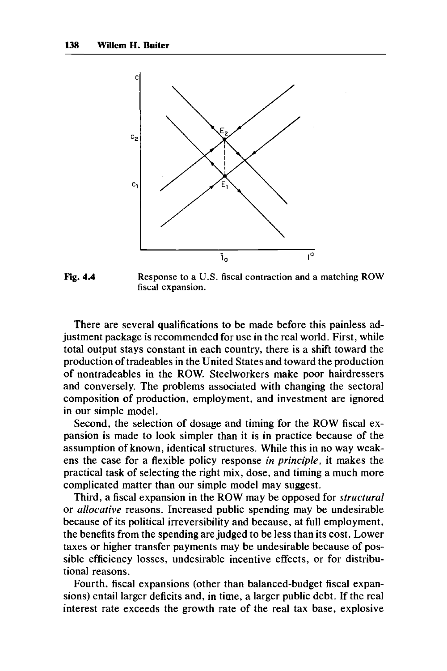

**Fig. 4.4 Response to a U.S. fiscal contraction and a matching ROW fiscal expansion.** 

There are several qualifications to be made before this painless adjustment package is recommended for use in the real world. First, while total output stays constant in each country, there is a shift toward the production of tradeables in the United States and toward the production of nontradeables in the ROW. Steelworkers make poor hairdressers and conversely. The problems associated with changing the sectoral composition of production, employment, and investment are ignored in our simple model.

Second, the selection of dosage and timing for the ROW fiscal expansion is made to look simpler than it is in practice because of the assumption of known, identical structures. While this in no way weakens the case for a flexible policy response *in principle,* it makes the practical task of selecting the right mix, dose, and timing a much more complicated matter than our simple model may suggest.

Third, a fiscal expansion in the ROW may be opposed for *structural*  or *allocative* reasons. Increased public spending may be undesirable because of its political irreversibility and because, at full employment, the benefits from the spending are judged to be less than its cost. Lower taxes or higher transfer payments may be undesirable because of possible efficiency losses, undesirable incentive effects, or for distributional reasons.

Fourth, fiscal expansions (other than balanced-budget fiscal expansions) entail larger deficits and, in time, a larger public debt. If the real interest rate exceeds the growth rate of the real tax base, explosive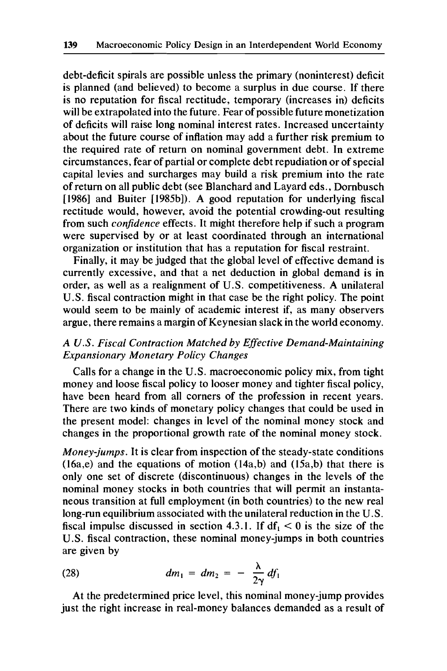debt-deficit spirals are possible unless the primary (noninterest) deficit is planned (and believed) to become a surplus in due course. If there is no reputation for fiscal rectitude, temporary (increases in) deficits will be extrapolated into the future. Fear of possible future monetization of deficits will raise long nominal interest rates. Increased uncertainty about the future course of inflation may add a further risk premium to the required rate of return on nominal government debt. In extreme circumstances, fear of partial or complete debt repudiation or of special capital levies and surcharges may build a risk premium into the rate of return on all public debt (see Blanchard and Layard eds., Dornbusch [1986] and Buiter [1985b]). A good reputation for underlying fiscal rectitude would, however, avoid the potential crowding-out resulting from such *conjidence* effects. It might therefore help if such a program were supervised by or at least coordinated through an international organization or institution that has a reputation for fiscal restraint.

Finally, it may be judged that the global level of effective demand is currently excessive, and that a net deduction in global demand is in order, as well as a realignment of U.S. competitiveness. A unilateral U.S. fiscal contraction might in that case be the right policy. The point would seem to be mainly of academic interest if, as many observers argue, there remains a margin of Keynesian slack in the world economy.

# *A US. Fiscal Contraction Matched by Effective Demand-Maintaining Expansionary Monetary Policy Changes*

Calls for a change in the U.S. macroeconomic policy mix, from tight money and loose fiscal policy to looser money and tighter fiscal policy, have been heard from all corners of the profession in recent years. There are two kinds of monetary policy changes that could be used in the present model: changes in level of the nominal money stock and changes in the proportional growth rate of the nominal money stock.

*Money-jumps.* It is clear from inspection of the steady-state conditions (16a,e) and the equations of motion (14a,b) and (15a,b) that there is only one set of discrete (discontinuous) changes in the levels of the nominal money stocks in both countries that will permit an instantaneous transition at full employment (in both countries) to the new real long-run equilibrium associated with the unilateral reduction in the U.S. fiscal impulse discussed in section 4.3.1. If  $df_1 < 0$  is the size of the U.S. fiscal contraction, these nominal money-jumps in both countries are given by

are given by  
(28) 
$$
dm_1 = dm_2 = - \frac{\lambda}{2\gamma} df_1
$$

At the predetermined price level, this nominal money-jump provides just the right increase in real-money balances demanded as a result of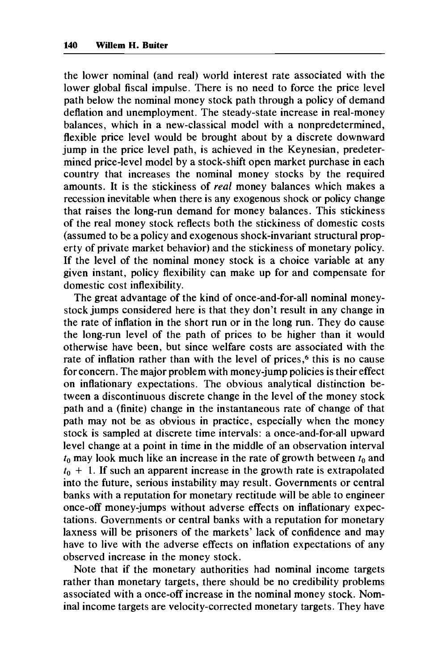the lower nominal (and real) world interest rate associated with the lower global fiscal impulse. There is no need to force the price level path below the nominal money stock path through a policy of demand deflation and unemployment. The steady-state increase in real-money balances, which in a new-classical model with a nonpredetermined, flexible price level would be brought about by a discrete downward jump in the price level path, is achieved in the Keynesian, predetermined price-level model by a stock-shift open market purchase in each country that increases the nominal money stocks by the required amounts. It is the stickiness of real money balances which makes a recession inevitable when there is any exogenous shock or policy change that raises the long-run demand for money balances. This stickiness of the real money stock reflects both the stickiness of domestic costs (assumed to be a policy and exogenous shock-invariant structural property of private market behavior) and the stickiness of monetary policy. If the level of the nominal money stock is a choice variable at any given instant, policy flexibility can make up for and compensate for domestic cost inflexibility.

The great advantage of the kind of once-and-for-all nominal moneystock jumps considered here is that they don't result in any change in the rate of inflation in the short run or in the long run. They do cause the long-run level of the path of prices to be higher than it would otherwise have been, but since welfare costs are associated with the rate of inflation rather than with the level of prices,<sup>6</sup> this is no cause for concern. The major problem with money-jump policies is their effect on inflationary expectations. The obvious analytical distinction between a discontinuous discrete change in the level of the money stock path and a (finite) change in the instantaneous rate of change of that path may not be as obvious in practice, especially when the money stock is sampled at discrete time intervals: a once-and-for-all upward level change at a point in time in the middle of an observation interval *to* may look much like an increase in the rate of growth between *to* and  $t_0$  + 1. If such an apparent increase in the growth rate is extrapolated into the future, serious instability may result. Governments or central banks with a reputation for monetary rectitude will be able to engineer once-off money-jumps without adverse effects on inflationary expectations. Governments or central banks with a reputation for monetary laxness will be prisoners of the markets' lack of confidence and may have to live with the adverse effects on inflation expectations of any observed increase in the money stock.

Note that if the monetary authorities had nominal income targets rather than monetary targets, there should be no credibility problems associated with a once-off increase in the nominal money stock. Nominal income targets are velocity-corrected monetary targets. They have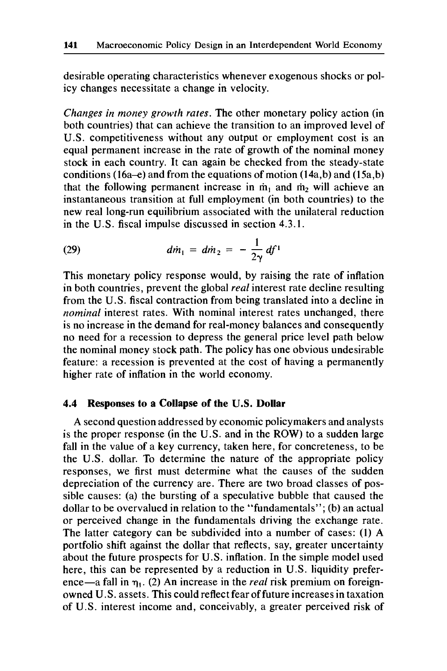desirable operating characteristics whenever exogenous shocks or policy changes necessitate a change in velocity.

*Changes in money growth rates.* The other monetary policy action (in both countries) that can achieve the transition to an improved level of U.S. competitiveness without any output or employment cost is an equal permanent increase in the rate of growth of the nominal money stock in each country. It can again be checked from the steady-state conditions (16a-e) and from the equations of motion (14a,b) and (15a,b) that the following permanent increase in  $\dot{m}_1$  and  $\dot{m}_2$  will achieve an instantaneous transition at full employment (in both countries) to the new real long-run equilibrium associated with the unilateral reduction in the U.S. fiscal impulse discussed in section **4.3.1.** 

(29) 
$$
dm_1 = dm_2 = -\frac{1}{2\gamma} df^1
$$

This monetary policy response would, by raising the rate of inflation in both countries, prevent the global *real* interest rate decline resulting from the U.S. fiscal contraction from being translated into a decline in *nominal* interest rates. With nominal interest rates unchanged, there is no increase in the demand for real-money balances and consequently no need for a recession to depress the general price level path below the nominal money stock path. The policy has one obvious undesirable feature: a recession is prevented at the cost of having a permanently higher rate of inflation in the world economy.

## **4.4 Responses to a Collapse of the U.S. Dollar**

A second question addressed by economic policymakers and analysts is the proper response (in the U.S. and in the ROW) to a sudden large fall in the value of a key currency, taken here, for concreteness, to be the U.S. dollar. To determine the nature of the appropriate policy responses, we first must determine what the causes of the sudden depreciation of the currency are. There are two broad classes of possible causes: (a) the bursting of a speculative bubble that caused the dollar to be overvalued in relation to the "fundamentals"; (b) an actual or perceived change in the fundamentals driving the exchange rate. The latter category can be subdivided into a number of cases: (1) A portfolio shift against the dollar that reflects, say, greater uncertainty about the future prospects for U.S. inflation. In the simple model used here, this can be represented by a reduction in U.S. liquidity preference-a fall in **q,.** (2) An increase in the *real* risk premium on foreignowned U.S. assets. This could reflect fear of future increases in taxation of U.S. interest income and, conceivably, a greater perceived risk of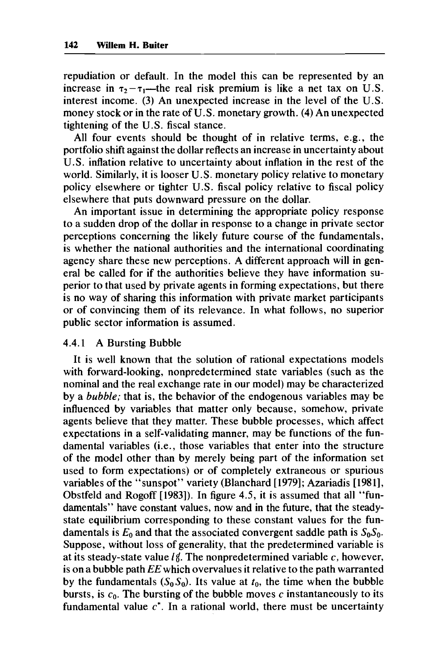repudiation or default. In the model this can be represented by an increase in  $\tau_2 - \tau_1$ ---the real risk premium is like a net tax on U.S. interest income. **(3)** An unexpected increase in the level of the **U.S.**  money stock or in the rate of U.S. monetary growth. **(4)** An unexpected tightening of the **U.S.** fiscal stance.

All four events should be thought of in relative terms, e.g., the portfolio shift against the dollar reflects an increase in uncertainty about U.S. inflation relative to uncertainty about inflation in the rest of the world. Similarly, it is looser **U.S.** monetary policy relative to monetary policy elsewhere or tighter **U.S.** fiscal policy relative to fiscal policy elsewhere that puts downward pressure on the dollar.

An important issue in determining the appropriate policy response to a sudden drop of the dollar in response to a change in private sector perceptions concerning the likely future course of the fundamentals, is whether the national authorities and the international coordinating agency share these new perceptions. A different approach will in general be called for if the authorities believe they have information superior to that used by private agents in forming expectations, but there is no way of sharing this information with private market participants or of convincing them of its relevance. In what follows, no superior public sector information is assumed.

### **4.4.1** A Bursting Bubble

It is well known that the solution of rational expectations models with forward-looking, nonpredetermined state variables (such as the nominal and the real exchange rate in our model) may be characterized by a *bubble;* that is, the behavior of the endogenous variables may be influenced by variables that matter only because, somehow, private agents believe that they matter. These bubble processes, which affect expectations in a self-validating manner, may be functions of the fundamental variables (i.e., those variables that enter into the structure of the model other than by merely being part of the information set used to form expectations) or of completely extraneous or spurious variables of the "sunspot" variety (Blanchard **[1979];** Azariadis **[1981],**  Obstfeld and Rogoff **[1983]).** In figure **4.5,** it is assumed that all "fundamentals" have constant values, now and in the future, that the steadystate equilibrium corresponding to these constant values for the fundamentals is  $E_0$  and that the associated convergent saddle path is  $S_0S_0$ . Suppose, without loss of generality, that the predetermined variable is at its steady-state value  $l \notin$ . The nonpredetermined variable  $c$ , however, is on a bubble path *EE* which overvalues it relative to the path warranted by the fundamentals  $(S_0S_0)$ . Its value at  $t_0$ , the time when the bubble bursts, is  $c_0$ . The bursting of the bubble moves  $c$  instantaneously to its fundamental value **c\*.** In a rational world, there must be uncertainty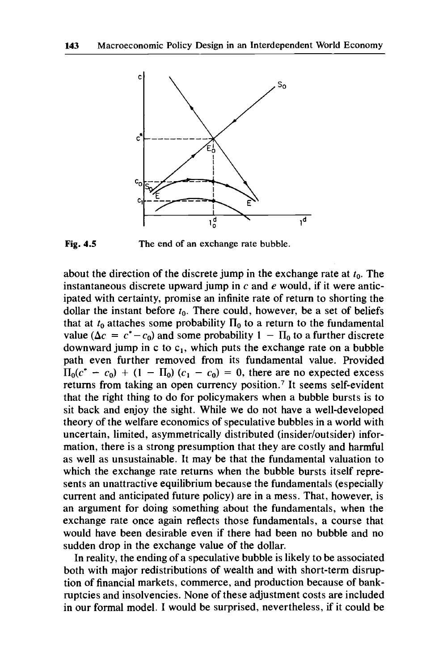

**Fig. 4.5 The end of an exchange rate bubble.** 

about the direction of the discrete jump in the exchange rate at *to.* The instantaneous discrete upward jump in **c** and *e* would, if it were anticipated with certainty, promise an infinite rate of return to shorting the dollar the instant before  $t_0$ . There could, however, be a set of beliefs that at  $t_0$  attaches some probability  $\Pi_0$  to a return to the fundamental value ( $\Delta c = c^* - c_0$ ) and some probability  $1 - \Pi_0$  to a further discrete downward jump in c to  $c_1$ , which puts the exchange rate on a bubble path even further removed from its fundamental value. Provided  $\Pi_0(c^* - c_0) + (1 - \Pi_0)(c_1 - c_0) = 0$ , there are no expected excess returns from taking an open currency position.' It seems self-evident that the right thing to do for policymakers when a bubble bursts is to sit back and enjoy the sight. While we do not have a well-developed theory of the welfare economics of speculative bubbles in a world with uncertain, limited, asymmetrically distributed (insider/outsider) information, there is a strong presumption that they are costly and harmful as well as unsustainable. It may be that the fundamental valuation to which the exchange rate returns when the bubble bursts itself represents an unattractive equilibrium because the fundamentals (especially current and anticipated future policy) are in a mess. That, however, is an argument for doing something about the fundamentals, when the exchange rate once again reflects those fundamentals, a course that would have been desirable even if there had been no bubble and no sudden drop in the exchange value of the dollar.

In reality, the ending of a speculative bubble is likely to be associated both with major redistributions of wealth and with short-term disruption of financial markets, commerce, and production because of bankruptcies and insolvencies. None of these adjustment costs are included in our formal model. I would be surprised, nevertheless, if it could be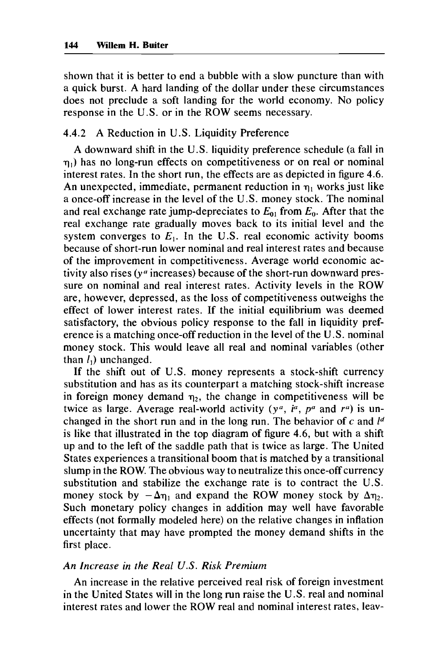shown that it is better to end a bubble with a slow puncture than with a quick burst. A hard landing of the dollar under these circumstances does not preclude a soft landing for the world economy. No policy response in the U.S. or in the ROW seems necessary.

## 4.4.2 A Reduction in U.S. Liquidity Preference

A downward shift in the U.S. liquidity preference schedule (a fall in  $\eta_1$ ) has no long-run effects on competitiveness or on real or nominal interest rates, In the short run, the effects are as depicted in figure 4.6. An unexpected, immediate, permanent reduction in  $\eta_1$  works just like a once-off increase in the level of the U.S. money stock. The nominal and real exchange rate jump-depreciates to  $E_{01}$  from  $E_0$ . After that the real exchange rate gradually moves back to its initial level and the system converges to  $E_1$ . In the U.S. real economic activity booms because of short-run lower nominal and real interest rates and because of the improvement in competitiveness. Average world economic activity also rises ( $y<sup>a</sup>$  increases) because of the short-run downward pressure on nominal and real interest rates. Activity levels in the ROW are, however, depressed, as the loss of competitiveness outweighs the effect of lower interest rates. If the initial equilibrium was deemed satisfactory, the obvious policy response to the fall in liquidity preference is a matching once-off reduction in the level of the U.S. nominal money stock. This would leave all real and nominal variables (other than  $l_1$ ) unchanged.

If the shift out of U.S. money represents a stock-shift currency substitution and has as its counterpart a matching stock-shift increase in foreign money demand  $\eta_2$ , the change in competitiveness will be twice as large. Average real-world activity  $(y^a, i^a, p^a$  and  $r^a$ ) is unchanged in the short run and in the long run. The behavior of **c** and *Id*  is like that illustrated in the top diagram of figure 4.6, but with a shift up and to the left of the saddle path that is twice as large. The United States experiences a transitional boom that is matched by a transitional slump in the ROW. The obvious way to neutralize this once-off currency substitution and stabilize the exchange rate is to contract the U.S. money stock by  $-\Delta\eta_1$  and expand the ROW money stock by  $\Delta\eta_2$ . Such monetary policy changes in addition may well have favorable effects (not formally modeled here) on the relative changes in inflation uncertainty that may have prompted the money demand shifts in the first place.

## *An Increase in the Real U.S. Risk Premium*

An increase in the relative perceived real risk of foreign investment in the United States will in the long run raise the U.S. real and nominal interest rates and lower the ROW real and nominal interest rates, leav-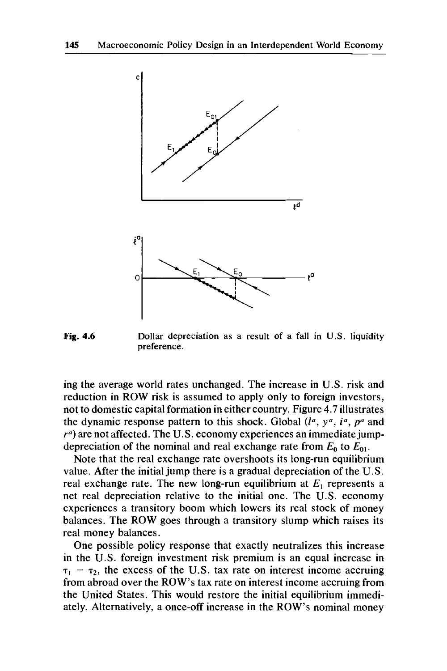

**Fig. 4.6 Dollar depreciation as a result of a fall in U.S. liquidity preference.** 

ing the average world rates unchanged. The increase in U.S. risk and reduction in **ROW risk** is assumed to apply only to foreign investors, not to domestic capital formation in either country. Figure 4.7 illustrates the dynamic response pattern to this shock. Global *(la, ya, in, pa* and  $r<sup>a</sup>$ ) are not affected. The U.S. economy experiences an immediate jumpdepreciation of the nominal and real exchange rate from  $E_0$  to  $E_{01}$ .

Note that the real exchange rate overshoots its long-run equilibrium value. After the initial jump there is a gradual depreciation of the U.S. real exchange rate. The new long-run equilibrium at  $E_1$  represents a net real depreciation relative to the initial one. The U.S. economy experiences a transitory boom which lowers its real stock of money balances. The **ROW** goes through a transitory slump which raises its real money balances.

One possible policy response that exactly neutralizes this increase in the U.S. foreign investment risk premium is an equal increase in  $\tau_1$  –  $\tau_2$ , the excess of the U.S. tax rate on interest income accruing from abroad over the **ROW's** tax rate on interest income accruing from the United States. This would restore the initial equilibrium immediately. Alternatively, a once-off increase in the **ROW's** nominal money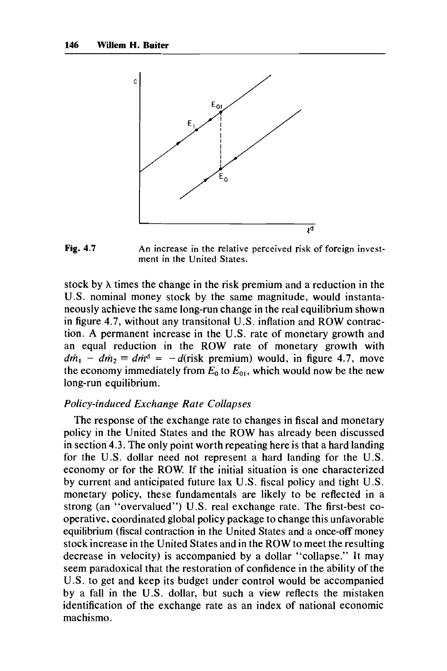



stock by **A** times the change in the risk premium and a reduction in the U.S. nominal money stock by the same magnitude, would instantaneously achieve the same long-run change in the real equilibrium shown in figure **4.7,** without any transitonal **U.S.** inflation and ROW contraction. **A** permanent increase in the **U.S.** rate of monetary growth and an equal reduction in the ROW rate of monetary growth with  $d\dot{m}_1 - d\dot{m}_2 \equiv d\dot{m}^d = -d(\text{risk premium})$  would, in figure 4.7, move the economy immediately from  $E_0$  to  $E_{01}$ , which would now be the new long-run equilibrium.

### *Policy-induced Exchange Rate Collapses*

The response of the exchange rate to changes in fiscal and monetary policy in the United States and the ROW has already been discussed in section **4.3.** The only point worth repeating here is that a hard landing for the U.S. dollar need not represent a hard landing for the U.S. economy or for the ROW. If the initial situation is one characterized by current and anticipated future lax U.S. fiscal policy and tight U.S. monetary policy, these fundamentals are likely to be reflected in a strong (an "overvalued") U.S. real exchange rate. The first-best cooperative, coordinated global policy package to change this unfavorable equilibrium (fiscal contraction in the United States and a once-off money stock increase in the United States and in the ROW to meet the resulting decrease in velocity) is accompanied by a dollar "collapse." It may seem paradoxical that the restoration of confidence in the ability of the U.S. to get and keep its budget under control would be accompanied by a fall in the U.S. dollar, but such a view reflects the mistaken identification of the exchange rate as an index of national economic machismo.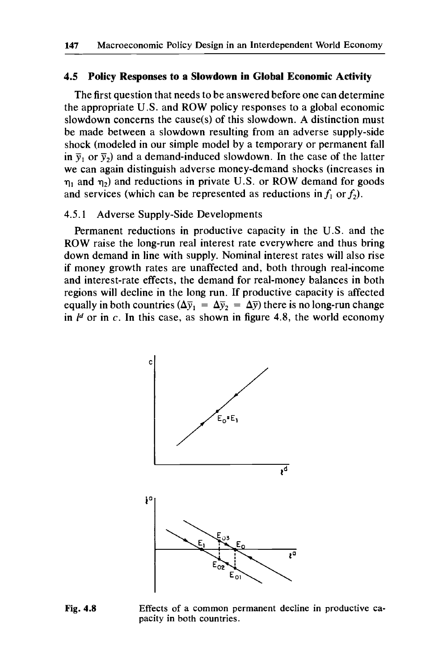## **4.5 Policy Responses to a Slowdown in Global Economic Activity**

The first question that needs to be answered before one can determine the appropriate U.S. and ROW policy responses to a global economic slowdown concerns the cause(s) of this slowdown. A distinction must be made between a slowdown resulting from an adverse supply-side shock (modeled in our simple model by a temporary or permanent fall in  $\bar{y}_1$  or  $\bar{y}_2$ ) and a demand-induced slowdown. In the case of the latter we can again distinguish adverse money-demand shocks (increases in  $\eta_1$  and  $\eta_2$ ) and reductions in private U.S. or ROW demand for goods and services (which can be represented as reductions in  $f_1$  or  $f_2$ ).

## **4.5.1** Adverse Supply-side Developments

Permanent reductions in productive capacity in the U.S. and the ROW raise the long-run real interest rate everywhere and thus bring down demand in line with supply. Nominal interest rates will also rise if money growth rates are unaffected and, both through real-income and interest-rate effects, the demand for real-money balances in both regions will decline in the long run. If productive capacity is affected equally in both countries  $(\Delta \bar{y}_1 = \Delta \bar{y}_2 = \Delta \bar{y})$  there is no long-run change in  $l^d$  or in  $c$ . In this case, as shown in figure 4.8, the world economy



**Fig. 4.8** Effects of a common permanent decline in productive capacity in both countries.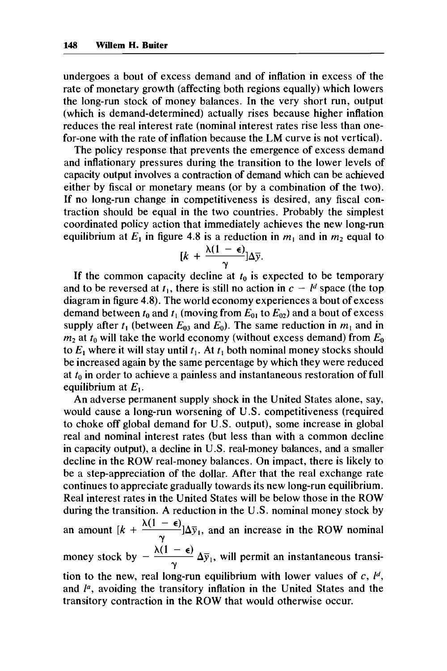undergoes a bout of excess demand and of inflation in excess of the rate of monetary growth (affecting both regions equally) which lowers the long-run stock of money balances. In the very short run, output (which is demand-determined) actually rises because higher inflation reduces the real interest rate (nominal interest rates rise less than onefor-one with the rate of inflation because the LM curve is not vertical).

The policy response that prevents the emergence of excess demand and inflationary pressures during the transition to the lower levels of capacity output involves a contraction of demand which can be achieved either by fiscal or monetary means (or by a combination of the two). If no long-run change in competitiveness is desired, any fiscal contraction should be equal in the two countries. Probably the simplest coordinated policy action that immediately achieves the new long-run equilibrium at  $E_1$  in figure 4.8 is a reduction in  $m_1$  and in  $m_2$  equal to

$$
[k + \frac{\lambda(1-\epsilon)}{\gamma}] \Delta \overline{y}.
$$

If the common capacity decline at  $t_0$  is expected to be temporary and to be reversed at  $t_1$ , there is still no action in  $c - l^d$  space (the top diagram in figure 4.8). The world economy experiences a bout of excess demand between  $t_0$  and  $t_1$  (moving from  $E_{01}$  to  $E_{02}$ ) and a bout of excess supply after  $t_1$  (between  $E_{03}$  and  $E_0$ ). The same reduction in  $m_1$  and in  $m_2$  at  $t_0$  will take the world economy (without excess demand) from  $E_0$ to  $E_1$  where it will stay until  $t_1$ . At  $t_1$  both nominal money stocks should be increased again by the same percentage by which they were reduced at *to* in order to achieve a painless and instantaneous restoration of full equilibrium at *El.* 

An adverse permanent supply shock in the United States alone, say, would cause a long-run worsening of U.S. competitiveness (required to choke off global demand for U.S. output), some increase in global real and nominal interest rates (but less than with a common decline in capacity output), a decline in U.S. real-money balances, and a smaller decline in the ROW real-money balances. On impact, there is likely to be a step-appreciation of the dollar. After that the real exchange rate continues to appreciate gradually towards its new long-run equilibrium. Real interest rates in the United States will be below those in the ROW during the transition. A reduction in the U.S. nominal money stock by during the transition. A reduction in the U.S. nominal money stock by<br>an amount  $[k + \frac{\lambda(1 - \epsilon)}{\lambda^2}] \Delta \bar{y}_1$ , and an increase in the ROW nominal money stock by  $-\frac{\lambda(1-\epsilon)}{\lambda} \Delta \bar{y}_1$ , will permit an instantaneous transition to the new, real long-run equilibrium with lower values of  $c$ ,  $l<sup>d</sup>$ , and *P,* avoiding the transitory inflation in the United States and the transitory contraction in the ROW that would otherwise occur. Y **Y**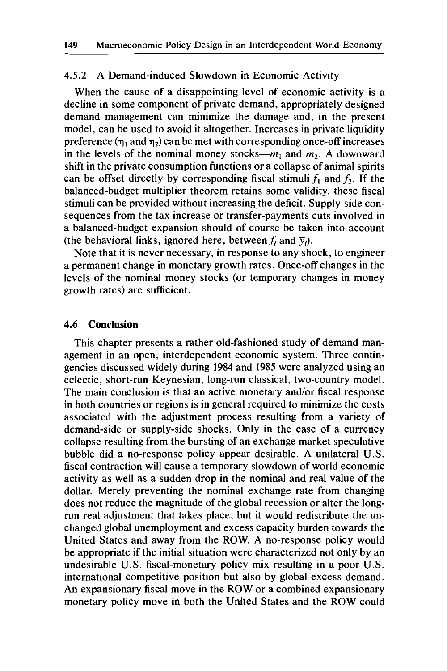## **4.5.2** A Demand-induced Slowdown in Economic Activity

When the cause of a disappointing level of economic activity is a decline in some component of private demand, appropriately designed demand management can minimize the damage and, in the present model, can be used to avoid it altogether. Increases in private liquidity preference  $(\eta_1$  and  $\eta_2)$  can be met with corresponding once-off increases in the levels of the nominal money stocks- $m_1$  and  $m_2$ . A downward shift in the private consumption functions or a collapse of animal spirits can be offset directly by corresponding fiscal stimuli  $f_1$  and  $f_2$ . If the balanced-budget multiplier theorem retains some validity, these fiscal stimuli can be provided without increasing the deficit. Supply-side consequences from the tax increase or transfer-payments cuts involved in a balanced-budget expansion should of course be taken into account (the behavioral links, ignored here, between  $f_i$  and  $\bar{y}_i$ ).

Note that it is never necessary, in response to any shock, to engineer a permanent change in monetary growth rates. Once-off changes in the levels of the nominal money stocks (or temporary changes in money growth rates) are sufficient.

#### **4.6 Conclusion**

This chapter presents a rather old-fashioned study of demand management in an open, interdependent economic system. Three contingencies discussed widely during **1984** and **1985** were analyzed using an eclectic, short-run Keynesian, long-run classical, two-country model. The main conclusion is that an active monetary and/or fiscal response in both countries or regions is in general required to minimize the costs associated with the adjustment process resulting from a variety of demand-side or supply-side shocks. Only in the case of a currency collapse resulting from the bursting of an exchange market speculative bubble did a no-response policy appear desirable. A unilateral **U.S.**  fiscal contraction will cause a temporary slowdown of world economic activity as well as a sudden drop in the nominal and real value of the dollar. Merely preventing the nominal exchange rate from changing does not reduce the magnitude of the global recession or alter the longrun real adjustment that takes place, but it would redistribute the unchanged global unemployment and excess capacity burden towards the United States and away from the ROW. A no-response policy would be appropriate if the initial situation were characterized not only by an undesirable **U.S.** fiscal-monetary policy mix resulting in a poor **U.S.**  international competitive position but also by global excess demand. An expansionary fiscal move in the ROW or a combined expansionary monetary policy move in both the United States and the ROW could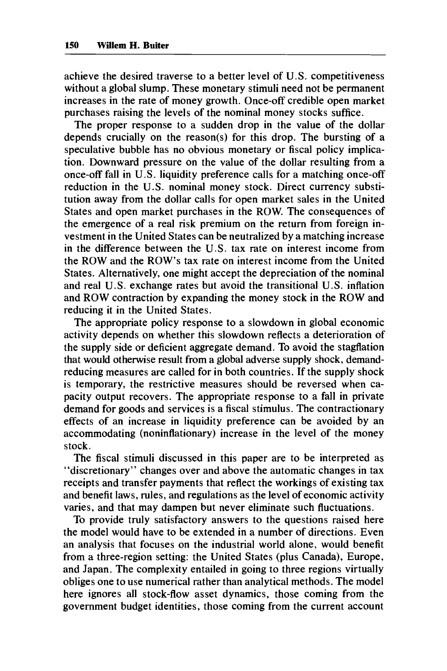achieve the desired traverse to a better level of U.S. competitiveness without a global slump. These monetary stimuli need not be permanent increases in the rate of money growth. Once-off credible open market purchases raising the levels of the nominal money stocks suffice.

The proper response to a sudden drop in the value of the dollar depends crucially on the reason(s) for this drop. The bursting of a speculative bubble has no obvious monetary or fiscal policy implication. Downward pressure on the value of the dollar resulting from a once-off fall in U.S. liquidity preference calls for a matching once-off reduction in the U.S. nominal money stock. Direct currency substitution away from the dollar calls for open market sales in the United States and open market purchases in the **ROW.** The consequences of the emergence of a real risk premium on the return from foreign investment in the United States can be neutralized by a matching increase in the difference between the U.S. tax rate on interest income from the **ROW** and the **ROW'S** tax rate on interest income from the United States. Alternatively, one might accept the depreciation of the nominal and real U.S. exchange rates but avoid the transitional U.S. inflation and **ROW** contraction by expanding the money stock in the **ROW** and reducing it in the United States.

The appropriate policy response to a slowdown in global economic activity depends on whether this slowdown reflects a deterioration of the supply side or deficient aggregate demand. To avoid the stagflation that would otherwise result from a global adverse supply shock, demandreducing measures are called for in both countries. If the supply shock is temporary, the restrictive measures should be reversed when capacity output recovers. The appropriate response to a fall in private demand for goods and services is a fiscal stimulus. The contractionary effects of an increase in liquidity preference can be avoided by an accommodating (noninflationary) increase in the level of the money stock.

The fiscal stimuli discussed in this paper are to be interpreted as "discretionary" changes over and above the automatic changes in tax receipts and transfer payments that reflect the workings of existing tax and benefit laws, rules, and regulations as the level of economic activity varies, and that may dampen but never eliminate such fluctuations.

To provide truly satisfactory answers to the questions raised here the model would have to be extended in a number of directions. Even an analysis that focuses on the industrial world alone, would benefit from a three-region setting: the United States (plus Canada), Europe, and Japan. The complexity entailed in going to three regions virtually obliges one to use numerical rather than analytical methods. The model here ignores all stock-flow asset dynamics, those coming from the government budget identities, those coming from the current account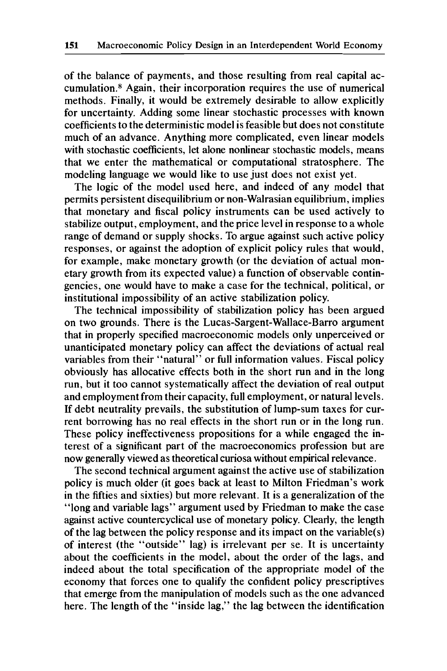of the balance of payments, and those resulting from real capital accumulation.8 Again, their incorporation requires the use of numerical methods. Finally, it would be extremely desirable to allow explicitly for uncertainty. Adding some linear stochastic processes with known coefficients to the deterministic model is feasible but does not constitute much of an advance. Anything more complicated, even linear models with stochastic coefficients, let alone nonlinear stochastic models, means that we enter the mathematical or computational stratosphere. The modeling language we would like to use just does not exist yet.

The logic of the model used here, and indeed of any model that permits persistent disequilibrium or non-Walrasian equilibrium, implies that monetary and fiscal policy instruments can be used actively to stabilize output, employment, and the price level in response to a whole range of demand or supply shocks. To argue against such active policy responses, or against the adoption of explicit policy rules that would, for example, make monetary growth (or the deviation of actual monetary growth from its expected value) a function of observable contingencies, one would have to make a case for the technical, political, or institutional impossibility of an active stabilization policy.

The technical impossibility of stabilization policy has been argued on two grounds. There is the Lucas-Sargent-Wallace-Barro argument that in properly specified macroeconomic models only unperceived or unanticipated monetary policy can affect the deviations of actual real variables from their "natural" or full information values. Fiscal policy obviously has allocative effects both in the short run and in the long run, but it too cannot systematically affect the deviation of real output and employment from their capacity, full employment, or natural levels. If debt neutrality prevails, the substitution of lump-sum taxes for current borrowing has no real effects in the short run or in the long run. These policy ineffectiveness propositions for a while engaged the interest of a significant part of the macroeconomics profession but are now generally viewed as theoretical curiosa without empirical relevance.

The second technical argument against the active use of stabilization policy is much older (it goes back at least to Milton Friedman's work in the fifties and sixties) but more relevant. It is a generalization of the "long and variable lags" argument used by Friedman to make the case against active countercyclical use of monetary policy. Clearly, the length of the lag between the policy response and its impact on the variable(s) of interest (the "outside" lag) is irrelevant per se. It is uncertainty about the coefficients in the model, about the order of the lags, and indeed about the total specification of the appropriate model of the economy that forces one to qualify the confident policy prescriptives that emerge from the manipulation of models such as the one advanced here. The length of the "inside lag," the lag between the identification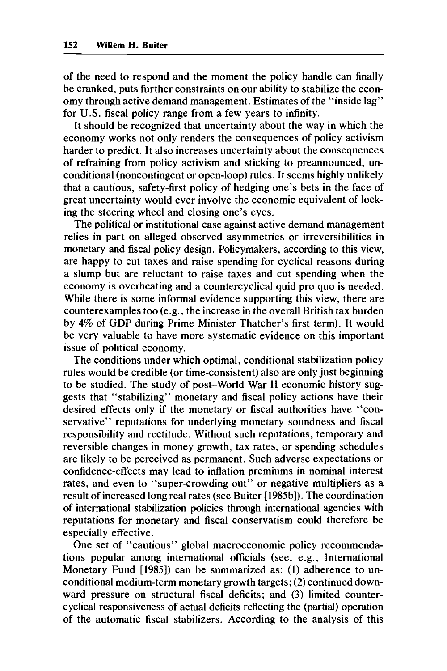of the need to respond and the moment the policy handle can finally be cranked, puts further constraints on our ability to stabilize the economy through active demand management. Estimates of the "inside lag" for U.S. fiscal policy range from a few years to infinity.

It should be recognized that uncertainty about the way in which the economy works not only renders the consequences of policy activism harder to predict. It also increases uncertainty about the consequences of refraining from policy activism and sticking to preannounced, unconditional (noncontingent or open-loop) rules. It seems highly unlikely that a cautious, safety-first policy of hedging one's bets in the face of great uncertainty would ever involve the economic equivalent of locking the steering wheel and closing one's eyes.

The political or institutional case against active demand management relies in part on alleged observed asymmetries or irreversibilities in monetary and fiscal policy design. Policymakers, according to this view, are happy to cut taxes and raise spending for cyclical reasons during a slump but are reluctant to raise taxes and cut spending when the economy is overheating and a countercyclical quid pro quo is needed. While there is some informal evidence supporting this view, there are counterexamples too (e.g., the increase in the overall British tax burden by **4%** of GDP during Prime Minister Thatcher's first term). It would be very valuable to have more systematic evidence on this important issue of political economy.

The conditions under which optimal, conditional stabilization policy rules would be credible (or time-consistent) also are only just beginning to be studied. The study of post-World War **I1** economic history suggests that "stabilizing" monetary and fiscal policy actions have their desired effects only if the monetary or fiscal authorities have "conservative" reputations for underlying monetary soundness and fiscal responsibility and rectitude. Without such reputations, temporary and reversible changes in money growth, tax rates, or spending schedules are likely to be perceived as permanent. Such adverse expectations or confidence-effects may lead to inflation premiums in nominal interest rates, and even to "super-crowding out" or negative multipliers as a result of increased long real rates (see Buiter [1985b]). The coordination of international stabilization policies through international agencies with reputations for monetary and fiscal conservatism could therefore be especially effective.

One set of "cautious" global macroeconomic policy recommendations popular among international officials (see, e.g., International Monetary Fund **[1985])** can be summarized as: (1) adherence to unconditional medium-term monetary growth targets; (2) continued downward pressure on structural fiscal deficits; and (3) limited countercyclical responsiveness of actual deficits reflecting the (partial) operation of the automatic fiscal stabilizers. According to the analysis of this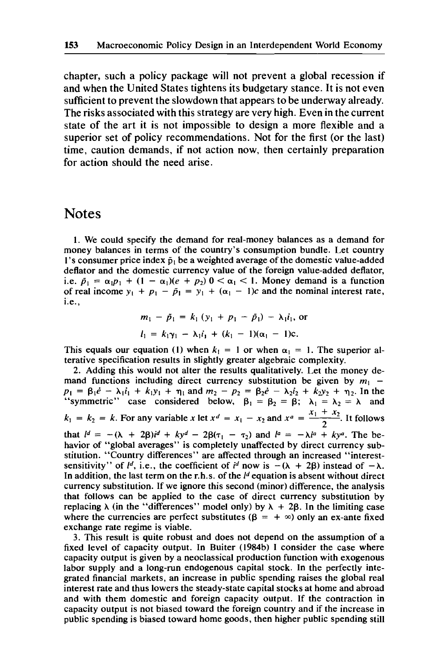chapter, such a policy package will not prevent a global recession if and when the United States tightens its budgetary stance. It is not even sufficient to prevent the slowdown that appears to be underway already. The risks associated with this strategy are very high. Even in the current state of the art it is not impossible to design a more flexible and a superior set of policy recommendations. Not for the first (or the last) time, caution demands, if not action now, then certainly preparation for action should the need arise.

# **Notes**

**1.** We could specify the demand for real-money balances as a demand for money balances in terms of the country's consumption bundle. Let country 1's consumer price index  $\tilde{p}_1$  be a weighted average of the domestic value-added deflator and the domestic currency value of the foreign value-added deflator, i.e.  $\bar{p}_1 = \alpha_1 p_1 + (1 - \alpha_1)(e + p_2)$   $0 < \alpha_1 < 1$ . Money demand is a function of real income  $y_1 + p_1 - \tilde{p}_1 = y_1 + (\alpha_1 - 1)c$  and the nominal interest rate, i.e.,

$$
m_1 - \tilde{p}_1 = k_1 (y_1 + p_1 - \tilde{p}_1) - \lambda_1 \tilde{i}_1
$$
, or  
\n $l_1 = k_1 \gamma_1 - \lambda_1 \tilde{i}_1 + (k_1 - 1)(\alpha_1 - 1)c$ .

This equals our equation (1) when  $k_1 = 1$  or when  $\alpha_1 = 1$ . The superior alterative specification results in slightly greater algebraic complexity.

**2.** Adding this would not alter the results qualitatively. Let the money demand functions including direct currency substitution be given by  $m_1$  mand functions including direct currency substitution be given by  $m_1 - p_1 = \beta_1 \dot{e} - \lambda_1 \dot{i}_1 + k_1 y_1 + \eta_1$  and  $m_2 - p_2 = \beta_2 \dot{e} - \lambda_2 \dot{i}_2 + k_2 y_2 + \eta_2$ . In the "symmetric" case considered below,  $\beta_1 = \beta_2 = \beta$ ;  $\lambda_1 = \lambda$ This equals our equation (1) when  $k_1 = 1$  or when  $\alpha_1 = 1$ . The superior alterative specification results in slightly greater algebraic complexity.<br>2. Adding this would not alter the results qualitatively. Let the money  $k_1 = k_2 = k$ . For any variable x let  $x^d = x_1 - x_2$  and  $x^a = \frac{x_1 + x_2}{2}$ . It follows that  $l^d = -(\lambda + 2\beta)i^d + ky^d - 2\beta(\tau_1 - \tau_2)$  and  $l^a = -\lambda i^a + ky^a$ . The behavior of "global averages" is completely unaffected by direct currency substitution. "Country differences" are affected through an increased "interestsensitivity" of  $l^d$ , i.e., the coefficient of  $i^d$  now is  $-(\lambda + 2\beta)$  instead of  $-\lambda$ . In addition, the last term on the r.h.s. of the  $l<sup>d</sup>$  equation is absent without direct currency substitution. If we ignore this second (minor) difference, the analysis that follows can be applied to the case of direct currency substitution by replacing  $\lambda$  (in the "differences" model only) by  $\lambda + 2\beta$ . In the limiting case where the currencies are perfect substitutes  $(\beta = +\infty)$  only an ex-ante fixed exchange rate regime is viable.

3. This result is quite robust and does not depend on the assumption of a fixed level of capacity output. **In** Buiter (1984b) I consider the case where capacity output is given by a neoclassical production function with exogenous labor supply and a long-run endogenous capital stock. In the perfectly integrated financial markets, an increase in public spending raises the global real interest rate and thus lowers the steady-state capital stocks at home and abroad and with them domestic and foreign capacity output. If the contraction in capacity output is not biased toward the foreign country and if the increase in public spending is biased toward home goods, then higher public spending still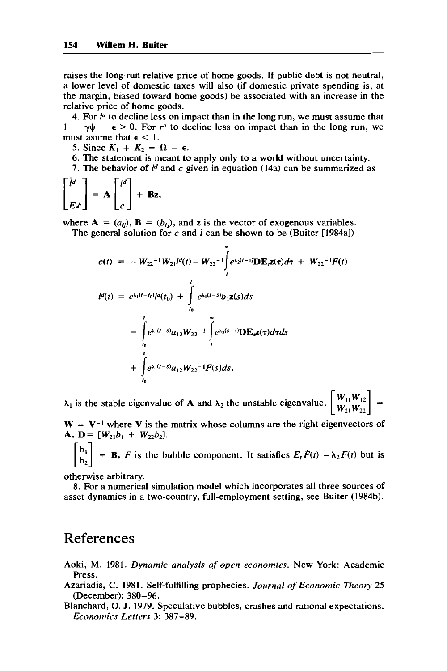raises the long-run relative price of home goods. If public debt is not neutral, a lower level of domestic taxes will also (if domestic private spending is, at the margin, biased toward home goods) be associated with an increase in the relative price of home goods.

4. For  $i<sup>a</sup>$  to decline less on impact than in the long run, we must assume that  $1 - \gamma \psi - \epsilon > 0$ . For  $r^a$  to decline less on impact than in the long run, we must asume that  $\epsilon$  < 1.

5. Since  $K_1 + K_2 = \Omega - \epsilon$ .

6. The statement is meant to apply only to a world without uncertainty.

**7.** The behavior of *Id* and *c* given in equation (14a) can be summarized as

$$
\begin{bmatrix} i^d \\ E_t c \end{bmatrix} = \mathbf{A} \begin{bmatrix} t^d \\ c \end{bmatrix} + \mathbf{Bz},
$$

where  $A = (a_{ij}), B = (b_{ij}),$  and **z** is the vector of exogenous variables.

The general solution for *c* and *l* can be shown to be (Buiter [1984a])

$$
c(t) = -W_{22}^{-1}W_{21}d(t) - W_{22}^{-1}\int_{t}^{\infty}e^{\lambda_{2}(t-\tau)}\mathbf{D}\mathbf{E}_{t}\mathbf{z}(\tau)d\tau + W_{22}^{-1}F(t)
$$
  
\n
$$
d(t) = e^{\lambda_{1}(t-t_{0})}d(t_{0}) + \int_{t_{0}}^{t}e^{\lambda_{1}(t-s)}b_{1}\mathbf{z}(s)ds
$$
  
\n
$$
-\int_{t_{0}}^{t}e^{\lambda_{1}(t-s)}a_{12}W_{22}^{-1}\int_{s}^{\infty}e^{\lambda_{2}(s-\tau)}\mathbf{D}\mathbf{E}_{s}\mathbf{z}(\tau)d\tau ds
$$
  
\n
$$
+\int_{t_{0}}^{t}e^{\lambda_{1}(t-s)}a_{12}W_{22}^{-1}F(s)ds.
$$

 $\lambda_1$  is the stable eigenvalue of **A** and  $\lambda_2$  the unstable eigenvalue.  $\begin{bmatrix} W_{11}W_{12} \\ W_{21}W_{22} \end{bmatrix} =$ 

 $W = V^{-1}$  where V is the matrix whose columns are the right eigenvectors of **A.**  $D = [W_{21}b_1 + W_{22}b_2].$ 

 $\begin{bmatrix} b_1 \\ b_2 \end{bmatrix}$  = **B.** *F* is the bubble component. It satisfies  $E_t \dot{F}(t) = \lambda_2 F(t)$  but is

otherwise arbitrary.

8. For a numerical simulation model which incorporates all three sources of asset dynamics in a two-country, full-employment setting, see Buiter (1984b).

# References

Aoki, M. 1981. *Dynamic analysis of open economies.* New York: Academic Press.

- Azariadis, C. 1981. Self-fulfilling prophecies. *Journal of Economic Theory 25*  (December): 380-96.
- Blanchard, *0.* J. 1979. Speculative bubbles, crashes and rational expectations. *Economics Letters* 3: 387-89.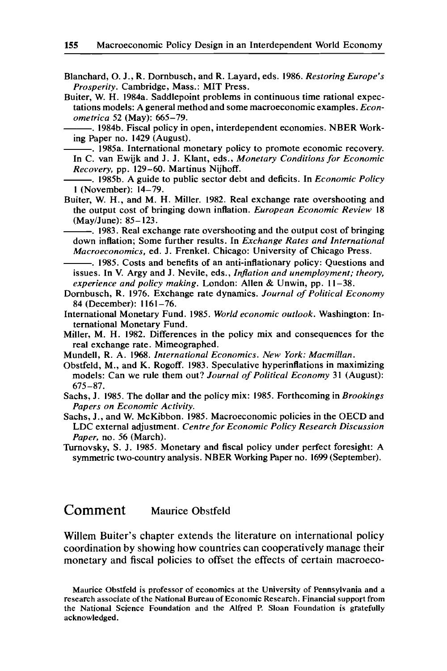Blanchard, 0. J., R. Dornbusch, and R. Layard, eds. 1986. *Restoring Europe's Prosperity.* Cambridge, Mass.: MIT Press.

Buiter, W. H. 1984a. Saddlepoint problems in continuous time rational expectations models: A general method and some macroeconomic examples. *Econometrica* 52 (May): 665-79.

. 1984b. Fiscal policy in open, interdependent economies. NBER Working Paper no. 1429 (August).

. 1985a. International monetary policy to promote economic recovery. In C. van Ewijk and J. J. Klant, eds., *Monetary Conditions for Economic Recovery,* pp. 129-60. Martinus Nijhoff.

-. 1985b. A guide to public sector debt and deficits. In *Economic Policy*  **1** (November): 14-79.

Buiter, W. H., and M. H. Miller. 1982. Real exchange rate overshooting and the output cost of bringing down inflation. *European Economic Review* 18 (May/June): 85-123.

. 1983. Real exchange rate overshooting and the output cost of bringing down inflation; Some further results. In *Exchange Rates and International Macroeconomics,* ed. J. Frenkel. Chicago: University of Chicago Press.

. 1985. Costs and benefits of an anti-inflationary policy: Questions and issues. In V. Argy and J. Nevile, eds., *Inflation and unemployment; theory, experience and policy making.* London: Allen & Unwin, pp. **I1** -38.

Dornbusch, R. 1976. Exchange rate dynamics. *Journal of Political Economy*  84 (December): 1161-76.

International Monetary Fund. 1985. *World economic outlook.* Washington: International Monetary Fund.

Miller, M. H. 1982. Differences in the policy mix and consequences for the real exchange rate. Mimeographed.

Mundell, R. A. 1968. *International Economics. New York: Macmillan.* 

Obstfeld, M., and K. Rogoff. 1983. Speculative hyperinflations in maximizing models: Can we rule them out? *Journal of Political Economy* 31 (August): 675-87.

Sachs, J. 1985. The dollar and the policy mix: 1985. Forthcoming in *Brookings Papers on Economic Activity.* 

Sachs, J., and W. McKibbon. 1985. Macroeconomic policies in the OECD and LDC external adjustment. *Centre for Economic Policy Research Discussion Paper,* no. 56 (March).

Turnovsky, S. J. 1985. Monetary and fiscal policy under perfect foresight: A symmetric two-country analysis. NBER Working Paper no. 1699 (September).

# **Comment** Maurice Obstfeld

Willem Buiter's chapter extends the literature on international policy coordination by showing how countries can cooperatively manage their monetary and fiscal policies to offset the effects of certain macroeco-

**Maurice Obstfeld is professor of economics at the University** *of* **Pennsylvania and a research associate of the National Bureau of Economic Research. Financial support from the National Science Foundation and the Alfred P. Sloan Foundation is gratefully acknowledged.**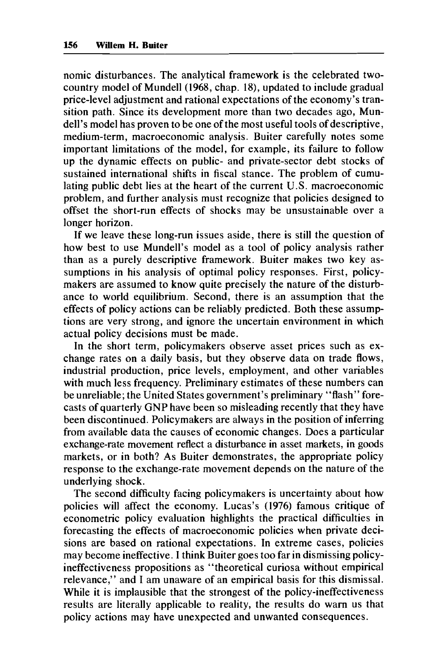nomic disturbances. The analytical framework is the celebrated twocountry model of Mundell **(1968,** chap. **18),** updated to include gradual price-level adjustment and rational expectations of the economy's transition path. Since its development more than two decades ago, Mundell's model has proven to be one of the most useful tools of descriptive, medium-term, macroeconomic analysis. Buiter carefully notes some important limitations of the model, for example, its failure to follow up the dynamic effects on public- and private-sector debt stocks of sustained international shifts in fiscal stance. The problem of cumulating public debt lies at the heart of the current U.S. macroeconomic problem, and further analysis must recognize that policies designed to offset the short-run effects of shocks may be unsustainable over a longer horizon.

If we leave these long-run issues aside, there is still the question of how best to use Mundell's model as a tool of policy analysis rather than as a purely descriptive framework. Buiter makes two key assumptions in his analysis of optimal policy responses. First, policymakers are assumed to know quite precisely the nature of the disturbance to world equilibrium. Second, there is an assumption that the effects of policy actions can be reliably predicted. Both these assumptions are very strong, and ignore the uncertain environment in which actual policy decisions must be made.

In the short term, policymakers observe asset prices such as exchange rates on a daily basis, but they observe data on trade flows, industrial production, price levels, employment, and other variables with much less frequency. Preliminary estimates of these numbers can be unreliable; the United States government's preliminary "flash" forecasts of quarterly GNP have been so misleading recently that they have been discontinued. Policymakers are always in the position of inferring from available data the causes of economic changes. Does a particular exchange-rate movement reflect a disturbance in asset markets, in goods markets, or in both? As Buiter demonstrates, the appropriate policy response to the exchange-rate movement depends on the nature of the underlying shock.

The second difficulty facing policymakers is uncertainty about how policies will affect the economy. Lucas's **(1976)** famous critique of econometric policy evaluation highlights the practical difficulties in forecasting the effects of macroeconomic policies when private decisions are based on rational expectations. In extreme cases, policies may become ineffective. I think Buiter goes too far in dismissing policyineffectiveness propositions as "theoretical curiosa without empirical relevance," and I am unaware of an empirical basis for this dismissal. While it is implausible that the strongest of the policy-ineffectiveness results are literally applicable to reality, the results do warn us that policy actions may have unexpected and unwanted consequences.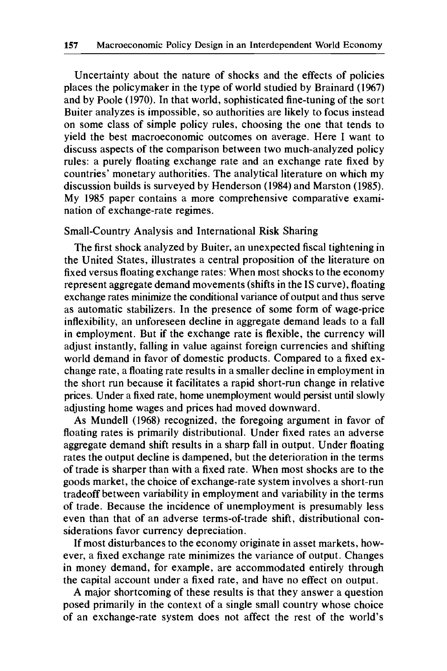Uncertainty about the nature of shocks and the effects of policies places the policymaker in the type of world studied by Brainard (1967) and by Poole (1970). In that world, sophisticated fine-tuning of the sort Buiter analyzes is impossible, so authorities are likely to focus instead on some class of simple policy rules, choosing the one that tends to yield the best macroeconomic outcomes on average. Here I want to discuss aspects of the comparison between two much-analyzed policy rules: a purely floating exchange rate and an exchange rate fixed by countries' monetary authorities. The analytical literature on which my discussion builds is surveyed by Henderson (1984) and Marston (1985). My 1985 paper contains a more comprehensive comparative examination of exchange-rate regimes.

## Small-Country Analysis and International Risk Sharing

The first shock analyzed by Buiter, an unexpected fiscal tightening in the United States, illustrates a central proposition of the literature on fixed versus floating exchange rates: When most shocks to the economy represent aggregate demand movements (shifts in the IS curve), floating exchange rates minimize the conditional variance of output and thus serve as automatic stabilizers. In the presence of some form of wage-price inflexibility, an unforeseen decline in aggregate demand leads to a fall in employment. But if the exchange rate is flexible, the currency will adjust instantly, falling in value against foreign currencies and shifting world demand in favor of domestic products. Compared to a fixed exchange rate, a floating rate results in a smaller decline in employment in the short run because it facilitates a rapid short-run change in relative prices. Under a fixed rate, home unemployment would persist until slowly adjusting home wages and prices had moved downward.

As Mundell (1968) recognized, the foregoing argument in favor of floating rates is primarily distributional. Under fixed rates an adverse aggregate demand shift results in a sharp fall in output. Under floating rates the output decline is dampened, but the deterioration in the terms of trade is sharper than with a fixed rate. When most shocks are **to** the goods market, the choice of exchange-rate system involves a short-run tradeoff between variability in employment and variability in the terms of trade. Because the incidence of unemployment is presumably less even than that of an adverse terms-of-trade shift, distributional considerations favor currency depreciation.

If most disturbances to the economy originate in asset markets, however, a fixed exchange rate minimizes the variance of output. Changes in money demand, for example, are accommodated entirely through the capital account under a fixed rate, and have no effect on output.

A major shortcoming of these results is that they answer a question posed primarily in the context of a single small country whose choice of an exchange-rate system does not affect the rest of the world's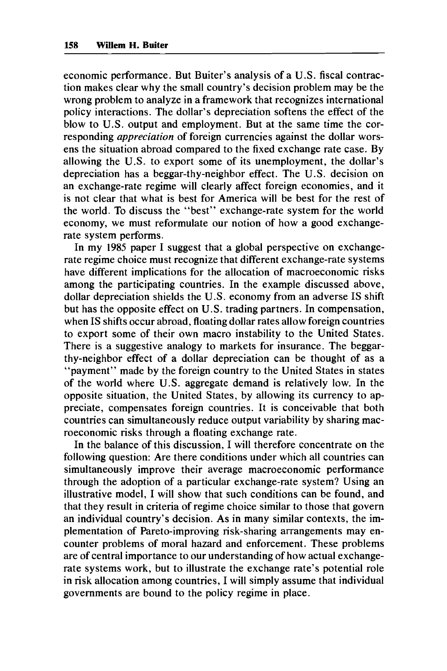economic performance. But Buiter's analysis of a U.S. fiscal contraction makes clear why the small country's decision problem may be the wrong problem to analyze in a framework that recognizes international policy interactions. The dollar's depreciation softens the effect of the blow to U.S. output and employment. But at the same time the corresponding *appreciation* of foreign currencies against the dollar worsens the situation abroad compared to the fixed exchange rate case. By allowing the U.S. to export some of its unemployment, the dollar's depreciation has a beggar-thy-neighbor effect. The U.S. decision on an exchange-rate regime will clearly affect foreign economies, and it is not clear that what is best for America will be best for the rest of the world. To discuss the "best" exchange-rate system for the world economy, we must reformulate our notion of how a good exchangerate system performs.

In my **1985** paper I suggest that a global perspective on exchangerate regime choice must recognize that different exchange-rate systems have different implications for the allocation of macroeconomic risks among the participating countries. In the example discussed above, dollar depreciation shields the U.S. economy from an adverse IS shift but has the opposite effect on U.S. trading partners. In compensation, when IS shifts occur abroad, floating dollar rates allow foreign countries to export some of their own macro instability to the United States. There is a suggestive analogy to markets for insurance. The beggarthy-neighbor effect of a dollar depreciation can be thought of as a "payment" made by the foreign country to the United States in states of the world where U.S. aggregate demand is relatively low. In the opposite situation, the United States, by allowing its currency to appreciate, compensates foreign countries. It is conceivable that both countries can simultaneously reduce output variability by sharing macroeconomic risks through a floating exchange rate.

In the balance of this discussion, I will therefore concentrate on the following question: Are there conditions under which all countries can simultaneously improve their average macroeconomic performance through the adoption of a particular exchange-rate system? Using an illustrative model, I will show that such conditions can be found, and that they result in criteria of regime choice similar to those that govern an individual country's decision. As in many similar contexts, the implementation of Pareto-improving risk-sharing arrangements may encounter problems of moral hazard and enforcement. These problems are of central importance to our understanding of how actual exchangerate systems work, but to illustrate the exchange rate's potential role in risk allocation among countries, I will simply assume that individual governments are bound to the policy regime in place.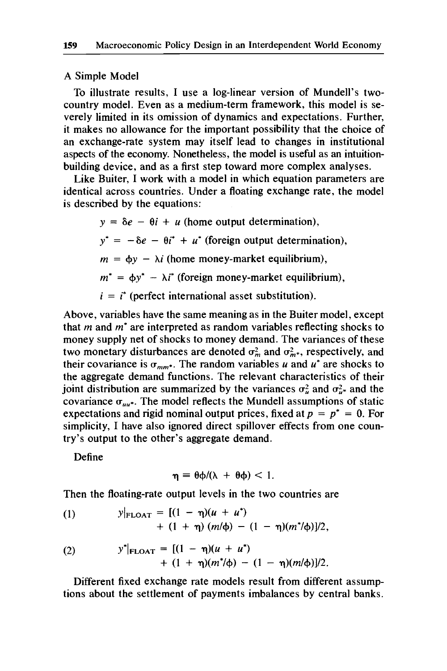#### A Simple Model

To illustrate results, I use a log-linear version of Mundell's twocountry model. Even as a medium-term framework, this model is severely limited in its omission of dynamics and expectations. Further, it makes no allowance for the important possibility that the choice of an exchange-rate system may itself lead to changes in institutional aspects of the economy. Nonetheless, the model is useful as an intuitionbuilding device, and as a first step toward more complex analyses.

Like Buiter, I work with a model in which equation parameters are identical across countries. Under a floating exchange rate, the model is described by the equations:

> $y = \delta e - \theta i + u$  (home output determination),  $y^* = -\delta e - \theta i^* + u^*$  (foreign output determination),  $m = \phi y - \lambda i$  (home money-market equilibrium),  $m^* = \phi y^* - \lambda i^*$  (foreign money-market equilibrium),  $i = i^*$  (perfect international asset substitution).

Above, variables have the same meaning as in the Buiter model, except that *m* and *m'* are interpreted as random variables reflecting shocks to money supply net of shocks to money demand. The variances of these two monetary disturbances are denoted  $\sigma_m^2$  and  $\sigma_{m*}^2$ , respectively, and their covariance is  $\sigma_{mm^*}$ . The random variables *u* and *u*<sup>\*</sup> are shocks to the aggregate demand functions. The relevant characteristics of their joint distribution are summarized by the variances  $\sigma_u^2$  and  $\sigma_{u^*}^2$  and the covariance  $\sigma_{uu^*}$ . The model reflects the Mundell assumptions of static expectations and rigid nominal output prices, fixed at  $p = p^* = 0$ . For simplicity, I have also ignored direct spillover effects from one country's output to the other's aggregate demand.

Define

$$
\eta = \theta \varphi / (\lambda + \theta \varphi) < 1.
$$

Then the floating-rate output levels in the two countries are

(1) 
$$
y|_{\text{FLOAT}} = [(1 - \eta)(u + u^*) + (1 + \eta)(m/\phi) - (1 - \eta)(m^*/\phi)]/2,
$$

(2) 
$$
y^*|_{\text{FLOAT}} = [(1 - \eta)(u + u^*) + (1 + \eta)(m^*/\phi) - (1 - \eta)(m/\phi)]/2.
$$

Different fixed exchange rate models result from different assumptions about the settlement of payments imbalances by central banks.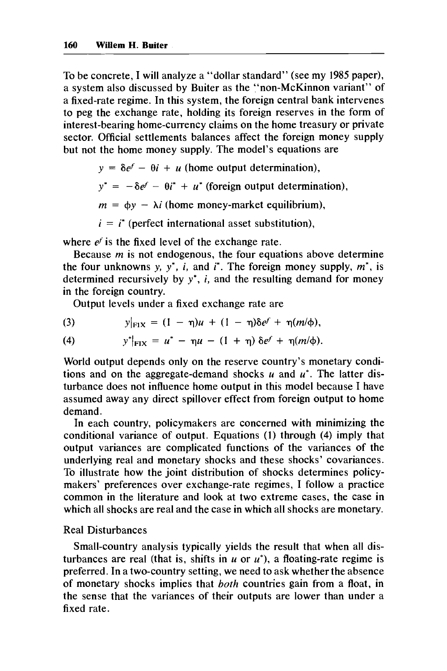To be concrete, I will analyze a "dollar standard" (see my **1985** paper), a system also discussed by Buiter as the "non-McKinnon variant" of a fixed-rate regime. In this system, the foreign central bank intervenes to peg the exchange rate, holding its foreign reserves in the form of interest-bearing home-currency claims on the home treasury or private sector. Official settlements balances affect the foreign money supply but not the home money supply. The model's equations are

 $y = \delta e^f - \theta i + u$  (home output determination),

 $y^* = -\delta e^f - \theta i^* + u^*$  (foreign output determination),

 $m = \phi y - \lambda i$  (home money-market equilibrium),

 $i = i^*$  (perfect international asset substitution),

where  $e^f$  is the fixed level of the exchange rate.

Because *m* is not endogenous, the four equations above determine the four unknowns y,  $y^*$ , *i*, and *i*<sup>\*</sup>. The foreign money supply,  $m^*$ , is determined recursively by *y\*, i,* and the resulting demand for money in the foreign country.

Output levels under a fixed exchange rate are

(3) 
$$
y|_{\text{F1X}} = (1 - \eta)u + (1 - \eta)\delta e^f + \eta(m/\phi),
$$

(4) 
$$
y^*|_{\text{Fix}} = u^* - \eta u - (1 + \eta) \delta e^f + \eta (m/\phi).
$$

World output depends only on the reserve country's monetary conditions and on the aggregate-demand shocks *u* and *u\*.* The latter disturbance does not influence home output in this model because I have assumed away any direct spillover effect from foreign output to home demand.

In each country, policymakers are concerned with minimizing the conditional variance of output. Equations **(1)** through **(4)** imply that output variances are complicated functions of the variances of the underlying real and monetary shocks and these shocks' covariances. To illustrate how the joint distribution of shocks determines policymakers' preferences over exchange-rate regimes, I follow a practice common in the literature and look at two extreme cases, the case in which all shocks are real and the case in which all shocks are monetary.

## Real Disturbances

Small-country analysis typically yields the result that when all disturbances are real (that is, shifts in  $u$  or  $u^*$ ), a floating-rate regime is preferred. In a two-country setting, we need to ask whether the absence of monetary shocks implies that *both* countries gain from a float, in the sense that the variances of their outputs are lower than under a fixed rate.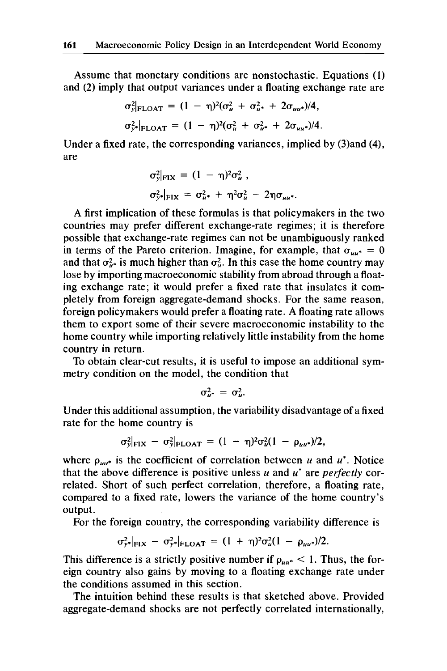Assume that monetary conditions are nonstochastic. Equations (1) and (2) imply that output variances under a floating exchange rate are

$$
\sigma_{y|_{\text{FLOAT}}}^{2} = (1 - \eta)^{2}(\sigma_{u}^{2} + \sigma_{u^{*}}^{2} + 2\sigma_{uu^{*}})/4,
$$
  

$$
\sigma_{y^{*}}^{2}|_{\text{FLOAT}} = (1 - \eta)^{2}(\sigma_{u}^{2} + \sigma_{u^{*}}^{2} + 2\sigma_{uu^{*}})/4.
$$

Under a fixed rate, the corresponding variances, implied by (3)and **(4),**  are

$$
\sigma_y^2|_{\text{FIX}} = (1 - \eta)^2 \sigma_u^2 ,
$$
  

$$
\sigma_{y^*}^2|_{\text{FIX}} = \sigma_{u^*}^2 + \eta^2 \sigma_u^2 - 2\eta \sigma_{uu^*}.
$$

A first implication of these formulas is that policymakers in the two countries may prefer different exchange-rate regimes; it is therefore possible that exchange-rate regimes can not be unambiguously ranked in terms of the Pareto criterion. Imagine, for example, that  $\sigma_{uu^*} = 0$ and that  $\sigma_{u^*}^2$  is much higher than  $\sigma_u^2$ . In this case the home country may lose by importing macroeconomic stability from abroad through a floating exchange rate; it would prefer a fixed rate that insulates it completely from foreign aggregate-demand shocks. For the same reason, foreign policymakers would prefer a floating rate. A floating rate allows them to export some of their severe macroeconomic instability to the home country while importing relatively little instability from the home country in return.

To obtain clear-cut results, it is useful to impose an additional symmetry condition on the model, the condition that

$$
\sigma_{u^*}^2 = \sigma_u^2.
$$

Under this additional assumption, the variability disadvantage of a fixed rate for the home country is

$$
\sigma_{y|FIX}^2 - \sigma_{y|FLOAT}^2 = (1 - \eta)^2 \sigma_u^2 (1 - \rho_{uu^*})/2,
$$

where  $\rho_{uu^*}$  is the coefficient of correlation between *u* and *u*<sup>\*</sup>. Notice that the above difference is positive unless *u* and *u\** are perfectly correlated. Short of such perfect correlation, therefore, a floating rate, compared to a fixed rate, lowers the variance of the home country's output.

For the foreign country, the corresponding variability difference is

$$
\sigma_{y^*}^2|_{\text{FIX}} - \sigma_{y^*}^2|_{\text{FLOAT}} = (1 + \eta)^2 \sigma_u^2 (1 - \rho_{uu^*})/2.
$$

This difference is a strictly positive number if  $\rho_{uu^*} < 1$ . Thus, the foreign country also gains by moving to a floating exchange rate under the conditions assumed in this section.

The intuition behind these results is that sketched above. Provided aggregate-demand shocks are not perfectly correlated internationally,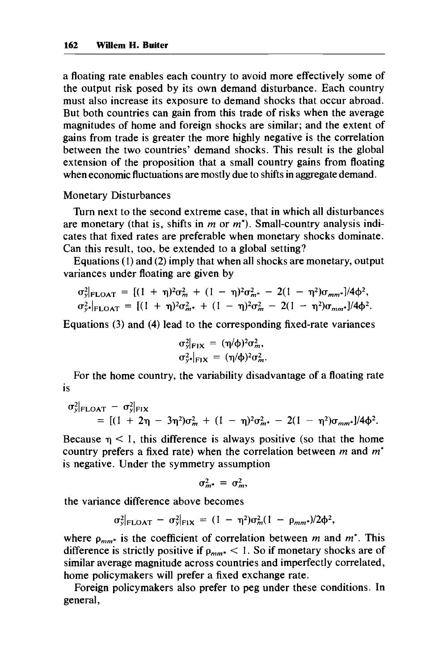a floating rate enables each country to avoid more effectively some of the output risk posed by its own demand disturbance. Each country must also increase its exposure to demand shocks that occur abroad. But both countries can gain from this trade of risks when the average magnitudes of home and foreign shocks are similar; and the extent of gains from trade is greater the more highly negative is the correlation between the two countries' demand shocks. This result is the global extension of the proposition that a small country gains from floating when economic fluctuations are mostly due to shifts in aggregate demand.

## Monetary Disturbances

Turn next to the second extreme case, that in which all disturbances are monetary (that is, shifts in *m* or *m\*).* Small-country analysis indicates that fixed rates are preferable when monetary shocks dominate. Can this result, too, be extended to a global setting?

Equations (1) and (2) imply that when all shocks are monetary, output variances under floating are given by

$$
\sigma_{y}^{2}|_{\text{FLOAT}} = [(1 + \eta)^{2} \sigma_{m}^{2} + (1 - \eta)^{2} \sigma_{m}^{2} - 2(1 - \eta^{2}) \sigma_{mm^{*}}]/4\phi^{2},
$$
  

$$
\sigma_{y}^{2}|_{\text{FLOAT}} = [(1 + \eta)^{2} \sigma_{m^{*}}^{2} + (1 - \eta)^{2} \sigma_{m}^{2} - 2(1 - \eta^{2}) \sigma_{mm^{*}}]/4\phi^{2}.
$$

Equations (3) and (4) lead to the corresponding fixed-rate variances

$$
\sigma_{y|F1X}^2 = (\eta/\phi)^2 \sigma_m^2, \n\sigma_{y*}^2|_{F1X} = (\eta/\phi)^2 \sigma_m^2.
$$

For the home country, the variability disadvantage of a floating rate is

$$
\sigma_y^2|_{\text{FLOAT}} - \sigma_y^2|_{\text{F1X}} = [(1 + 2\eta - 3\eta^2)\sigma_m^2 + (1 - \eta)^2\sigma_{m^*}^2 - 2(1 - \eta^2)\sigma_{mm^*}]/4\phi^2.
$$

Because  $\eta$  < 1, this difference is always positive (so that the home country prefers a fixed rate) when the correlation between *m* and *m\**  is negative. Under the symmetry assumption

$$
\sigma_{m^*}^2 = \sigma_m^2,
$$

the variance difference above becomes

$$
\sigma_y^2|_{\text{FLOAT}} - \sigma_y^2|_{\text{Fix}} = (1 - \eta^2)\sigma_m^2(1 - \rho_{mm^*})/2\phi^2,
$$

where  $\rho_{mm^*}$  is the coefficient of correlation between *m* and *m*<sup>\*</sup>. This difference is strictly positive if  $\rho_{mm^*}$  < 1. So if monetary shocks are of similar average magnitude across countries and imperfectly correlated, home policymakers will prefer a fixed exchange rate.

Foreign policymakers also prefer to peg under these conditions. In general,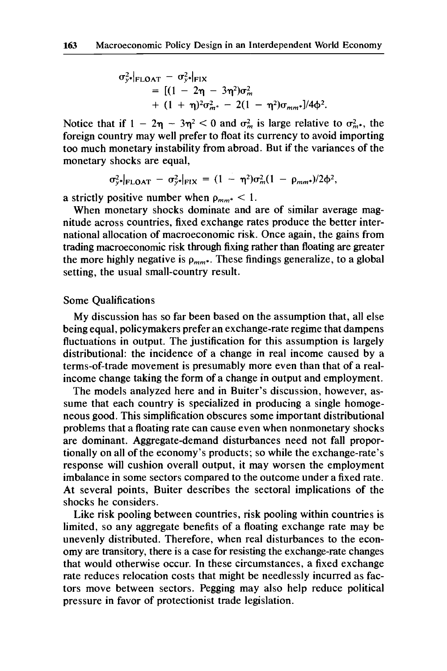$$
\sigma_{y*}^2 |_{\text{FLOAT}} - \sigma_{y*}^2 |_{\text{FIX}} \n= [(1 - 2\eta - 3\eta^2)\sigma_m^2 \n+ (1 + \eta)^2 \sigma_{m*}^2 - 2(1 - \eta^2)\sigma_{mm*}]/4\phi^2.
$$

Notice that if  $1 - 2\eta - 3\eta^2 < 0$  and  $\sigma_m^2$  is large relative to  $\sigma_{m^*}^2$ , the foreign country may well prefer to float its currency to avoid importing too much monetary instability from abroad. But if the variances of the monetary shocks are equal,

$$
\sigma_{y^*}^2|_{\text{FLOAT}} - \sigma_{y^*}^2|_{\text{FIX}} = (1 - \eta^2)\sigma_m^2(1 - \rho_{mm^*})/2\phi^2,
$$

a strictly positive number when  $\rho_{mm^*} < 1$ .

When monetary shocks dominate and are of similar average magnitude across countries, fixed exchange rates produce the better international allocation of macroeconomic risk. Once again, the gains from trading macroeconomic risk through fixing rather than floating are greater the more highly negative is  $\rho_{mm^*}$ . These findings generalize, to a global setting, the usual small-country result.

## Some Qualifications

My discussion has so far been based on the assumption that, all else being equal, policymakers prefer an exchange-rate regime that dampens fluctuations in output. The justification for this assumption is largely distributional: the incidence of a change in real income caused by a terms-of-trade movement is presumably more even than that of a realincome change taking the form of a change in output and employment.

The models analyzed here and in Buiter's discussion, however, assume that each country is specialized in producing a single homogeneous good. This simplification obscures some important distributional problems that a floating rate can cause even when nonmonetary shocks are dominant. Aggregate-demand disturbances need not fall proportionally on all of the economy's products; so while the exchange-rate's response will cushion overall output, it may worsen the employment imbalance in some sectors compared to the outcome under a fixed rate. At several points, Buiter describes the sectoral implications of the shocks he considers.

Like risk pooling between countries, risk pooling within countries is limited, so any aggregate benefits of a floating exchange rate may be unevenly distributed. Therefore, when real disturbances to the economy are transitory, there is a case for resisting the exchange-rate changes that would otherwise occur. In these circumstances, a fixed exchange rate reduces relocation costs that might be needlessly incurred as factors move between sectors. Pegging may also help reduce political pressure in favor of protectionist trade legislation.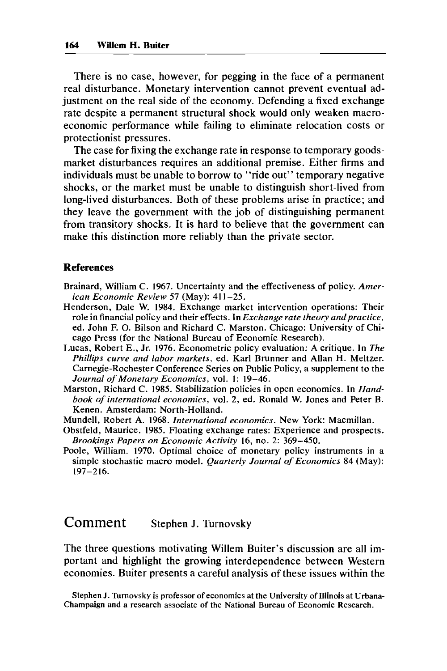There is no case, however, for pegging in the face of a permanent real disturbance. Monetary intervention cannot prevent eventual adjustment on the real side of the economy. Defending a fixed exchange rate despite a permanent structural shock would only weaken macroeconomic performance while failing to eliminate relocation costs or protectionist pressures.

The case for fixing the exchange rate in response to temporary goodsmarket disturbances requires an additional premise. Either firms and individuals must be unable to borrow to "ride out" temporary negative shocks, or the market must be unable to distinguish short-lived from long-lived disturbances. Both of these problems arise in practice; and they leave the government with the job of distinguishing permanent from transitory shocks. It is hard to believe that the government can make this distinction more reliably than the private sector.

#### **References**

- Brainard, William C. **1967.** Uncertainty and the effectiveness of policy. *American Economic Review* **57** (May): **41 1-25.**
- Henderson, Dale W. **1984.** Exchange market intervention operations: Their role in financial policy and their effects. In *Exchange rate theory andpractice,*  ed. John F. 0. Bilson and Richard C. Marston. Chicago: University of Chicago Press (for the National Bureau of Economic Research).
- Lucas, Robert E., Jr. **1976.** Econometric policy evaluation: A critique. In *The Phillips curve and labor markets,* ed. Karl Brunner and Allan H. Meltzer. Carnegie-Rochester Conference Series **on** Public Policy, a supplement to the *Journal of Monetary Economics,* vol. I: **19-46.**
- Marston, Richard C. **1985.** Stabilization policies in open economies. In *Handbook of international economics,* vol. *2,* ed. Ronald W. Jones and Peter B. Kenen. Amsterdam: North-Holland.
- Mundell, Robert A. **1968.** *International economics.* New York: Macmillan.
- Obstfeld, Maurice. **1985.** Floating exchange rates: Experience and prospects. *Brookings Papers* on *Economic Activity* **16, no.** *2:* **369-450.**
- Poole, William. **1970.** Optimal choice of monetary policy instruments in a simple stochastic macro model. *Quarterly Journal of Economics* **84** (May): **1 97 -2 1 6.**

# **Comment** Stephen J. Turnovsky

The three questions motivating Willem Buiter's discussion are all important and highlight the growing interdependence between Western economies. Buiter presents a careful analysis of these issues within the

Stephen J. Turnovsky is professor of economics at the University of Illinois at Urbana-Champaign and a research associate of the National Bureau of Economic Research.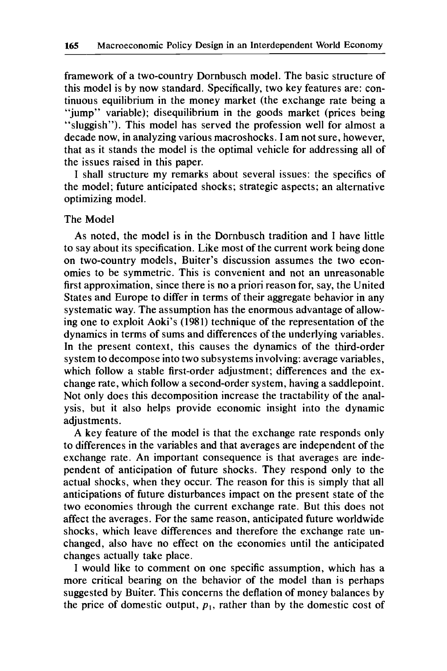framework of a two-country Dornbusch model. The basic structure of this model is by now standard. Specifically, two key features are: continuous equilibrium in the money market (the exchange rate being a "jump" variable); disequilibrium in the goods market (prices being "sluggish"). This model has served the profession well for almost a decade now, in analyzing various macroshocks. I am not sure, however, that as it stands the model is the optimal vehicle for addressing all of the issues raised in this paper.

I shall structure my remarks about several issues: the specifics of the model; future anticipated shocks; strategic aspects; an alternative optimizing model.

## The Model

As noted, the model is in the Dornbusch tradition and I have little to say about its specification. Like most of the current work being done on two-country models, Buiter's discussion assumes the two economies to be symmetric. This is convenient and not an unreasonable first approximation, since there is no a priori reason for, say, the United States and Europe to differ in terms of their aggregate behavior in any systematic way. The assumption has the enormous advantage of allowing one to exploit Aoki's (1981) technique of the representation of the dynamics in terms of sums and differences of the underlying variables. In the present context, this causes the dynamics of the third-order system to decompose into two subsystems involving: average variables, which follow a stable first-order adjustment; differences and the exchange rate, which follow a second-order system, having a saddlepoint. Not only does this decomposition increase the tractability of the analysis, but it also helps provide economic insight into the dynamic adjustments.

A key feature of the model is that the exchange rate responds only to differences in the variables and that averages are independent of the exchange rate. An important consequence is that averages are independent of anticipation of future shocks. They respond only to the actual shocks, when they occur. The reason for this is simply that all anticipations of future disturbances impact on the present state of the two economies through the current exchange rate. But this does not affect the averages. For the same reason, anticipated future worldwide shocks, which leave differences and therefore the exchange rate unchanged, also have no effect on the economies until the anticipated changes actually take place.

I would like to comment on one specific assumption, which has a more critical bearing on the behavior of the model than is perhaps suggested by Buiter. This concerns the deflation of money balances by the price of domestic output,  $p_1$ , rather than by the domestic cost of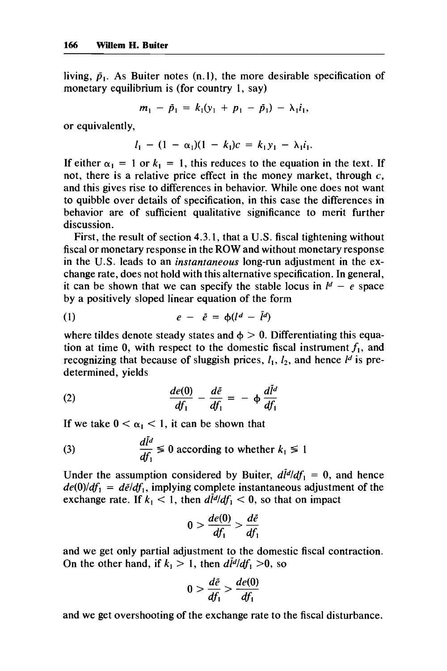living,  $\tilde{p}_1$ . As Buiter notes (n.1), the more desirable specification of monetary equilibrium is (for country **1,** say)

$$
m_1 - \tilde{p}_1 = k_1(y_1 + p_1 - \tilde{p}_1) - \lambda_1 i_1,
$$

or equivalently,

$$
l_1 - (1 - \alpha_1)(1 - k_1)c = k_1y_1 - \lambda_1i_1.
$$

If either  $\alpha_1 = 1$  or  $k_1 = 1$ , this reduces to the equation in the text. If not, there is a relative price effect in the money market, through **c,**  and this gives rise to differences in behavior. While one does not want to quibble over details of specification, in this case the differences in behavior are of sufficient qualitative significance to merit further discussion.

First, the result of section **4.3.1,** that a **U.S.** fiscal tightening without fiscal or monetary response in the ROW and without monetary response in the U.S. leads to an *instantaneous* long-run adjustment in the exchange rate, does not hold with this alternative specification. In general, it can be shown that we can specify the stable locus in  $l^d - e$  space by a positively sloped linear equation of the form

(1) 
$$
e - \tilde{e} = \phi(l^d - \tilde{l}^d)
$$

where tildes denote steady states and  $\phi > 0$ . Differentiating this equation at time 0, with respect to the domestic fiscal instrument  $f_1$ , and recognizing that because of sluggish prices,  $l_1$ ,  $l_2$ , and hence  $l^d$  is predetermined, yields

(2) 
$$
\frac{de(0)}{df_1} - \frac{d\tilde{e}}{df_1} = -\phi \frac{d\tilde{e}}{df_1}
$$

If we take 
$$
0 < \alpha_1 < 1
$$
, it can be shown that  
\n(3) 
$$
\frac{d\tilde{l}^d}{df_1} \leq 0
$$
 according to whether  $k_1 \leq 1$ 

Under the assumption considered by Buiter,  $d\tilde{l}^d/df_1 = 0$ , and hence  $de(0)/df_1 = d\tilde{e}/df_1$ , implying complete instantaneous adjustment of the exchange rate. If  $k_1 < 1$ , then  $d\tilde{l}^d/df_1 < 0$ , so that on impact

$$
0 > \frac{de(0)}{df_1} > \frac{d\tilde{e}}{df_1}
$$

and we get only partial adjustment to the domestic fiscal contraction. On the other hand, if  $k_1 > 1$ , then  $d\tilde{l}^d/df_1 > 0$ , so

$$
0 > \frac{d\tilde{e}}{df_1} > \frac{de(0)}{df_1}
$$

and we get overshooting of the exchange rate to the fiscal disturbance.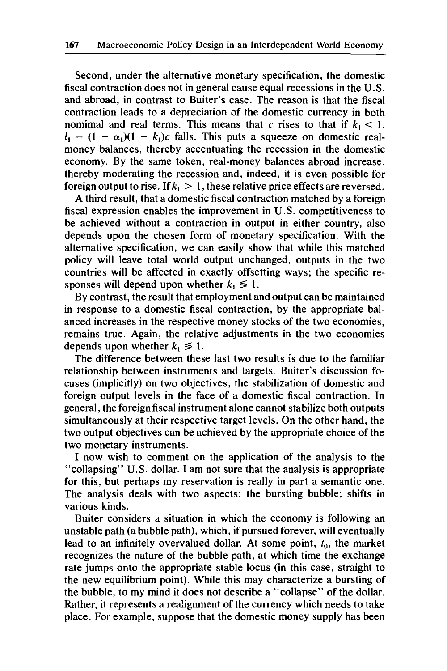Second, under the alternative monetary specification, the domestic fiscal contraction does not in general cause equal recessions in the U.S. and abroad, in contrast to Buiter's case. The reason is that the fiscal contraction leads to a depreciation of the domestic currency in both nomimal and real terms. This means that *c* rises to that if  $k_1 < 1$ ,  $I_1 - (1 - \alpha_1)(1 - k_1)c$  falls. This puts a squeeze on domestic realmoney balances, thereby accentuating the recession in the domestic economy. By the same token, real-money balances abroad increase, thereby moderating the recession and, indeed, it is even possible for foreign output to rise. If  $k_1 > 1$ , these relative price effects are reversed.

A third result, that a domestic fiscal contraction matched by a foreign fiscal expression enables the improvement in U.S. competitiveness to be achieved without a contraction in output in either country, also depends upon the chosen form of monetary specification. With the alternative specification, we can easily show that while this matched policy will leave total world output unchanged, outputs in the two countries will be affected in exactly offsetting ways; the specific responses will depend upon whether  $k_1 \leq 1$ .

By contrast, the result that employment and output can be maintained in response to a domestic fiscal contraction, by the appropriate balanced increases in the respective money stocks of the two economies, remains true. Again, the relative adjustments in the two economies depends upon whether  $k_1 \leq 1$ .

The difference between these last two results is due to the familiar relationship between instruments and targets. Buiter's discussion focuses (implicitly) on two objectives, the stabilization of domestic and foreign output levels in the face of a domestic fiscal contraction. In general, the foreign fiscal instrument alone cannot stabilize both outputs simultaneously at their respective target levels. On the other hand, the two output objectives can be achieved by the appropriate choice of the two monetary instruments.

I now wish to comment on the application of the analysis to the "collapsing" U.S. dollar. I am not sure that the analysis is appropriate for this, but perhaps my reservation is really in part a semantic one. The analysis deals with two aspects: the bursting bubble; shifts in various kinds.

Buiter considers a situation in which the economy is following an unstable path (a bubble path), which, if pursued forever, will eventually lead to an infinitely overvalued dollar. At some point,  $t_0$ , the market recognizes the nature of the bubble path, at which time the exchange rate jumps onto the appropriate stable locus (in this case, straight to the new equilibrium point). While this may characterize a bursting of the bubble, to my mind it does not describe a "collapse" of the dollar. Rather, it represents a realignment of the currency which needs to take place. For example, suppose that the domestic money supply has been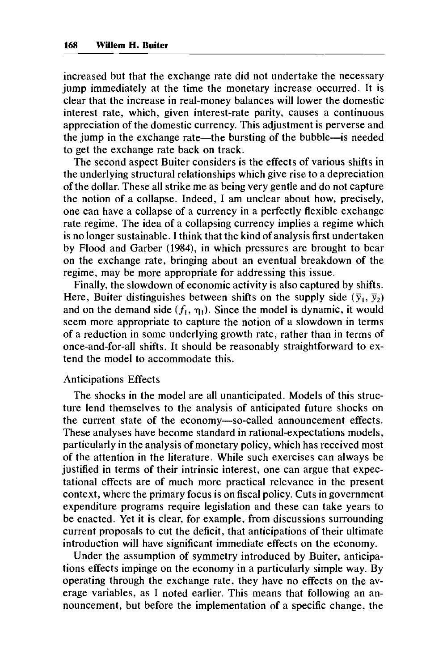increased but that the exchange rate did not undertake the necessary jump immediately at the time the monetary increase occurred. It is clear that the increase in real-money balances will lower the domestic interest rate, which, given interest-rate parity, causes a continuous appreciation of the domestic currency. This adjustment is perverse and the jump in the exchange rate—the bursting of the bubble—is needed to get the exchange rate back on track.

The second aspect Buiter considers is the effects of various shifts in the underlying structural relationships which give rise to a depreciation of the dollar. These all strike me as being very gentle and do not capture the notion of a collapse. Indeed, I am unclear about how, precisely, one can have a collapse of a currency in a perfectly flexible exchange rate regime. The idea of a collapsing currency implies a regime which is no longer sustainable. I think that the kind of analysis first undertaken by Flood and Garber **(1984),** in which pressures are brought to bear on the exchange rate, bringing about an eventual breakdown of the regime, may be more appropriate for addressing this issue.

Finally, the slowdown of economic activity is also captured by shifts. Here, Buiter distinguishes between shifts on the supply side  $(\bar{y}_1, \bar{y}_2)$ and on the demand side  $(f_1, \eta_1)$ . Since the model is dynamic, it would seem more appropriate to capture the notion of a slowdown in terms of a reduction in some underlying growth rate, rather than in terms of once-and-for-all shifts. It should be reasonably straightforward to extend the model to accommodate this.

#### Anticipations Effects

The shocks in the model are all unanticipated. Models of this structure lend themselves to the analysis of anticipated future shocks on the current state of the economy-so-called announcement effects. These analyses have become standard in rational-expectations models, particularly in the analysis of monetary policy, which has received most of the attention in the literature. While such exercises can always be justified in terms of their intrinsic interest, one can argue that expectational effects are of much more practical relevance in the present context, where the primary focus is on fiscal policy. Cuts in government expenditure programs require legislation and these can take years to be enacted. Yet it is clear, for example, from discussions surrounding current proposals to cut the deficit, that anticipations of their ultimate introduction will have significant immediate effects on the economy.

Under the assumption of symmetry introduced by Buiter, anticipations effects impinge on the economy in a particularly simple way. By operating through the exchange rate, they have no effects on the average variables, as I noted earlier. This means that following an announcement, but before the implementation of a specific change, the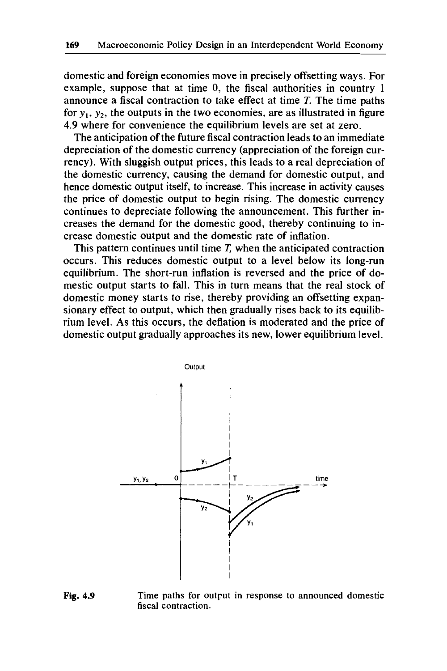domestic and foreign economies move in precisely offsetting ways. For example, suppose that at time 0, the fiscal authorities in country I announce a fiscal contraction to take effect at time *T.* The time paths for  $y_1$ ,  $y_2$ , the outputs in the two economies, are as illustrated in figure 4.9 where for convenience the equilibrium levels are set at zero.

The anticipation of the future fiscal contraction leads to an immediate depreciation of the domestic currency (appreciation of the foreign currency). With sluggish output prices, this leads to a real depreciation of the domestic currency, causing the demand for domestic output, and hence domestic output itself, to increase. This increase in activity causes the price of domestic output to begin rising. The domestic currency continues to depreciate following the announcement. This further increases the demand for the domestic good, thereby continuing to increase domestic output and the domestic rate of inflation.

This pattern continues until time *T,* when the anticipated contraction occurs. This reduces domestic output to a level below its long-run equilibrium. The short-run inflation is reversed and the price of domestic output starts to fall. This in turn means that the real stock of domestic money starts to rise, thereby providing an offsetting expansionary effect to output, which then gradually rises back to its equilibrium level. As this occurs, the deflation is moderated and the price of domestic output gradually approaches its new, lower equilibrium level.



**Fig. 4.9 Time paths for output in response to announced domestic fiscal contraction.**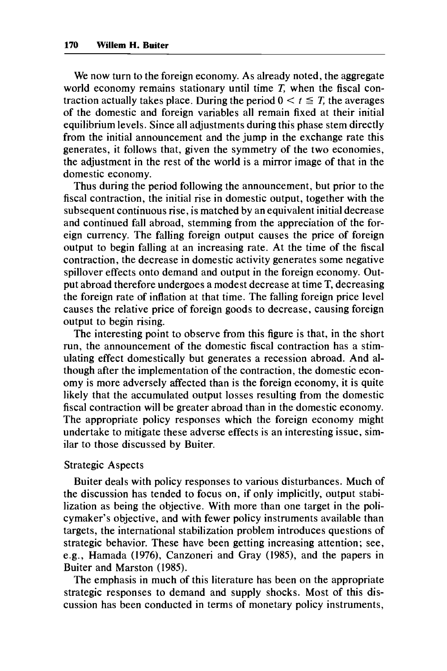We now turn to the foreign economy. As already noted, the aggregate world economy remains stationary until time *T,* when the fiscal contraction actually takes place. During the period  $0 \lt t \leq T$ , the averages of the domestic and foreign variables all remain fixed at their initial equilibrium levels. Since all adjustments during this phase stem directly from the initial announcement and the jump in the exchange rate this generates, it follows that, given the symmetry of the two economies, the adjustment in the rest of the world is a mirror image of that in the domestic economy.

Thus during the period following the announcement, but prior to the fiscal contraction, the initial rise in domestic output, together with the subsequent continuous rise, is matched by an equivalent initial decrease and continued fall abroad, stemming from the appreciation of the foreign currency. The falling foreign output causes the price of foreign output to begin falling at an increasing rate. At the time of the fiscal contraction, the decrease in domestic activity generates some negative spillover effects onto demand and output in the foreign economy. Output abroad therefore undergoes a modest decrease at time T, decreasing the foreign rate of inflation at that time. The falling foreign price level causes the relative price of foreign goods to decrease, causing foreign output to begin rising.

The interesting point to observe from this figure is that, in the short run, the announcement of the domestic fiscal contraction has a stimulating effect domestically but generates a recession abroad. And although after the implementation of the contraction, the domestic economy is more adversely affected than is the foreign economy, it is quite likely that the accumulated output losses resulting from the domestic fiscal contraction will be greater abroad than in the domestic economy. The appropriate policy responses which the foreign economy might undertake to mitigate these adverse effects is an interesting issue, similar to those discussed by Buiter.

#### Strategic Aspects

Buiter deals with policy responses to various disturbances. Much of the discussion has tended to focus on, if only implicitly, output stabilization as being the objective. With more than one target in the policymaker's objective, and with fewer policy instruments available than targets, the international stabilization problem introduces questions of strategic behavior. These have been getting increasing attention; see, e.g., Hamada **(1976),** Canzoneri and Gray **(1985),** and the papers in Buiter and Marston **(1985).** 

The emphasis in much of this literature has been on the appropriate strategic responses to demand and supply shocks. Most of this discussion has been conducted in terms of monetary policy instruments,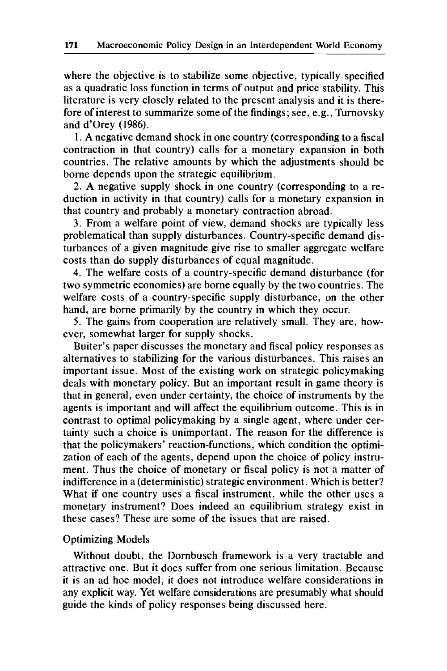where the objective is to stabilize some objective, typically specified as a quadratic loss function in terms of output and price stability. This literature is very closely related to the present analysis and it is therefore of interest to summarize some of the findings; see, e.g., Turnovsky and d'Orey (1986).

1. A negative demand shock in one country (corresponding to a fiscal contraction in that country) calls for a monetary expansion in both countries. The relative amounts by which the adjustments should be borne depends upon the strategic equilibrium.

2. A negative supply shock in one country (corresponding to a reduction in activity in that country) calls for a monetary expansion in that country and probably a monetary contraction abroad.

3. From a welfare point of view, demand shocks are typically less problematical than supply disturbances. Country-specific demand disturbances of a given magnitude give rise to smaller aggregate welfare costs than do supply disturbances of equal magnitude.

**4.** The welfare costs of a country-specific demand disturbance (for two symmetric economies) are borne equally by the two countries. The welfare costs of a country-specific supply disturbance, on the other hand, are borne primarily by the country in which they occur.

5. The gains from cooperation are relatively small. They are, however, somewhat larger for supply shocks.

Buiter's paper discusses the monetary and fiscal policy responses as alternatives to stabilizing for the various disturbances. This raises an important issue. Most of the existing work on strategic policymaking deals with monetary policy. But an important result in game theory is that in general, even under certainty, the choice of instruments by the agents is important and will affect the equilibrium outcome. This is in contrast to optimal policymaking by a single agent, where under certainty such a choice is unimportant. The reason for the difference is that the policymakers' reaction-functions, which condition the optimization of each of the agents, depend upon the choice of policy instrument. Thus the choice of monetary or fiscal policy is not a matter of indifference in a (deterministic) strategic environment. Which is better? What if one country uses a fiscal instrument, while the other uses a monetary instrument? Does indeed an equilibrium strategy exist in these cases? These are some of the issues that are raised.

#### Optimizing Models

Without doubt, the Dornbusch framework is a very tractable and attractive one. But it does suffer from one serious limitation. Because it is an ad hoc model, it does not introduce welfare considerations in any explicit way. Yet welfare considerations are presumably what should guide the kinds of policy responses being discussed here.